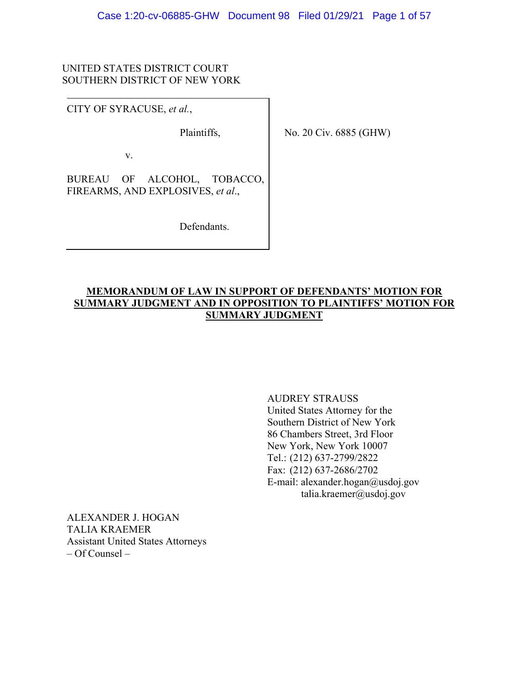### UNITED STATES DISTRICT COURT SOUTHERN DISTRICT OF NEW YORK

CITY OF SYRACUSE, *et al.*,

Plaintiffs,

No. 20 Civ. 6885 (GHW)

v.

BUREAU OF ALCOHOL, TOBACCO, FIREARMS, AND EXPLOSIVES, *et al*.,

Defendants.

## **MEMORANDUM OF LAW IN SUPPORT OF DEFENDANTS' MOTION FOR SUMMARY JUDGMENT AND IN OPPOSITION TO PLAINTIFFS' MOTION FOR SUMMARY JUDGMENT**

 AUDREY STRAUSS United States Attorney for the Southern District of New York 86 Chambers Street, 3rd Floor New York, New York 10007 Tel.: (212) 637-2799/2822 Fax: (212) 637-2686/2702 E-mail: alexander.hogan@usdoj.gov talia.kraemer@usdoj.gov

ALEXANDER J. HOGAN TALIA KRAEMER Assistant United States Attorneys – Of Counsel –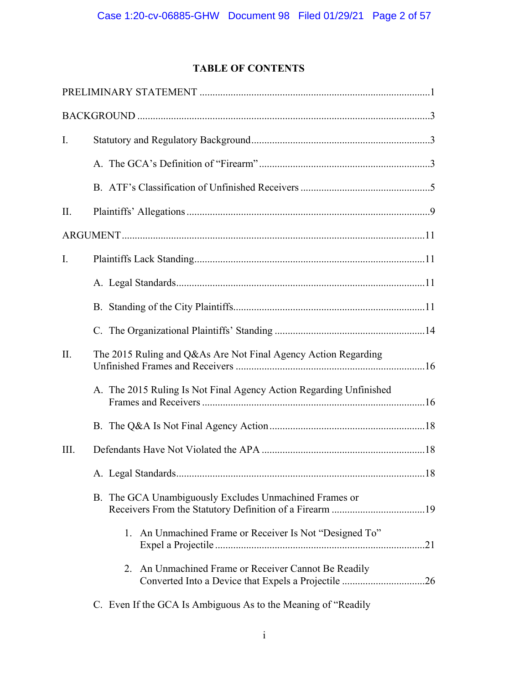## **TABLE OF CONTENTS**

| Ι.   |                                                                    |
|------|--------------------------------------------------------------------|
|      |                                                                    |
|      |                                                                    |
| II.  |                                                                    |
|      |                                                                    |
| I.   |                                                                    |
|      |                                                                    |
|      |                                                                    |
|      |                                                                    |
| II.  | The 2015 Ruling and Q&As Are Not Final Agency Action Regarding     |
|      | A. The 2015 Ruling Is Not Final Agency Action Regarding Unfinished |
|      |                                                                    |
| III. |                                                                    |
|      |                                                                    |
|      | B. The GCA Unambiguously Excludes Unmachined Frames or             |
|      | 1. An Unmachined Frame or Receiver Is Not "Designed To"            |
|      | 2. An Unmachined Frame or Receiver Cannot Be Readily               |
|      | C. Even If the GCA Is Ambiguous As to the Meaning of "Readily"     |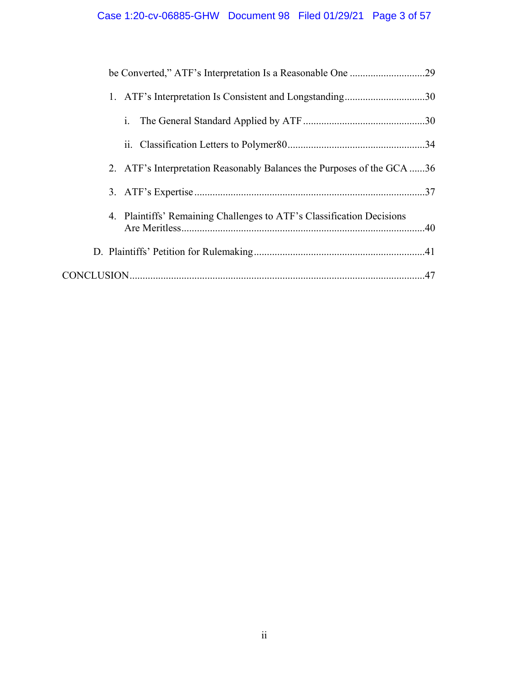| 1. ATF's Interpretation Is Consistent and Longstanding30               |
|------------------------------------------------------------------------|
| 1.                                                                     |
|                                                                        |
| 2. ATF's Interpretation Reasonably Balances the Purposes of the GCA 36 |
|                                                                        |
| 4. Plaintiffs' Remaining Challenges to ATF's Classification Decisions  |
|                                                                        |
|                                                                        |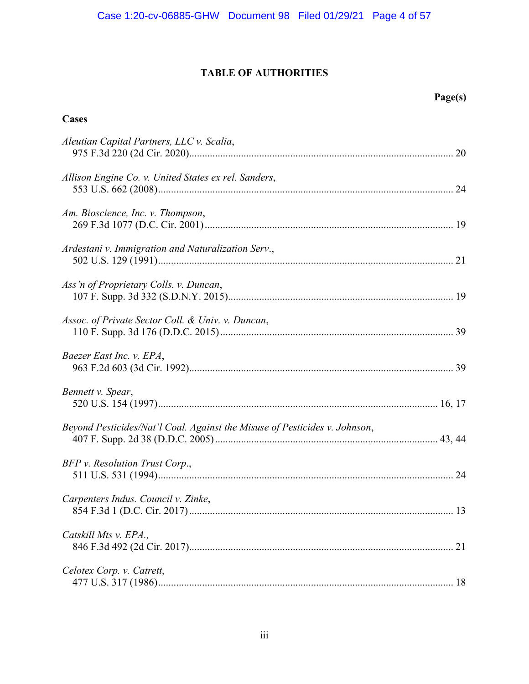## **TABLE OF AUTHORITIES**

**Cases**

# **Page(s)**

| Aleutian Capital Partners, LLC v. Scalia,                                  |    |
|----------------------------------------------------------------------------|----|
| Allison Engine Co. v. United States ex rel. Sanders,                       |    |
| Am. Bioscience, Inc. v. Thompson,                                          |    |
| Ardestani v. Immigration and Naturalization Serv.,                         |    |
| Ass'n of Proprietary Colls. v. Duncan,                                     |    |
| Assoc. of Private Sector Coll. & Univ. v. Duncan,                          |    |
| Baezer East Inc. v. EPA,                                                   |    |
| Bennett v. Spear,                                                          |    |
| Beyond Pesticides/Nat'l Coal. Against the Misuse of Pesticides v. Johnson, |    |
| BFP v. Resolution Trust Corp.,                                             |    |
| Carpenters Indus. Council v. Zinke,                                        |    |
| Catskill Mts v. EPA.,                                                      | 21 |
| Celotex Corp. v. Catrett,                                                  |    |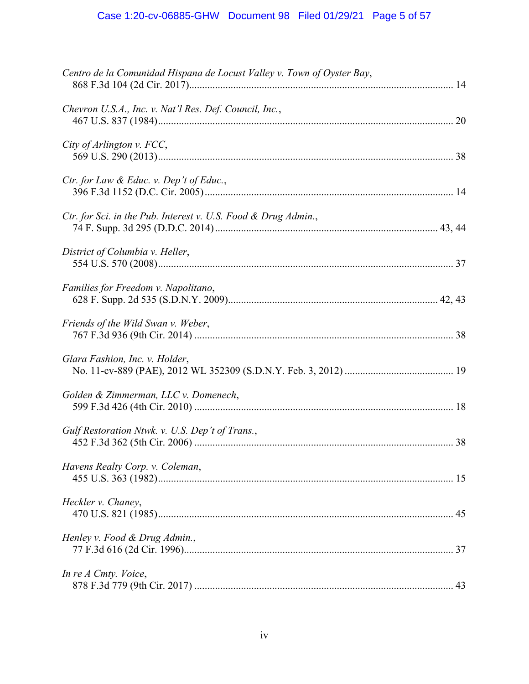| Centro de la Comunidad Hispana de Locust Valley v. Town of Oyster Bay, |
|------------------------------------------------------------------------|
| Chevron U.S.A., Inc. v. Nat'l Res. Def. Council, Inc.,                 |
| City of Arlington v. FCC,                                              |
| Ctr. for Law & Educ. v. Dep't of Educ.,                                |
| Ctr. for Sci. in the Pub. Interest v. U.S. Food & Drug Admin.,         |
| District of Columbia v. Heller,                                        |
| Families for Freedom v. Napolitano,                                    |
| Friends of the Wild Swan v. Weber,                                     |
| Glara Fashion, Inc. v. Holder,                                         |
| Golden & Zimmerman, LLC v. Domenech,                                   |
| Gulf Restoration Ntwk. v. U.S. Dep't of Trans.,                        |
| Havens Realty Corp. v. Coleman,                                        |
| Heckler v. Chaney,                                                     |
| Henley v. Food & Drug Admin.,                                          |
| In re A Cmty. Voice,                                                   |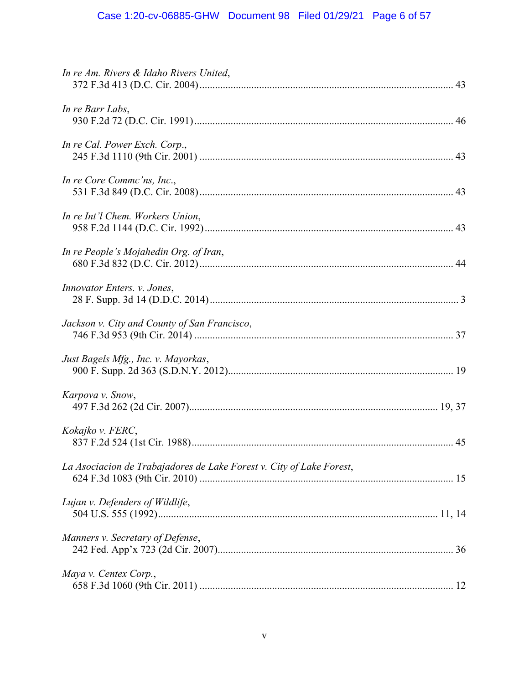| In re Am. Rivers & Idaho Rivers United,                              |
|----------------------------------------------------------------------|
| In re Barr Labs,                                                     |
| In re Cal. Power Exch. Corp.,                                        |
| In re Core Commc'ns, Inc.,                                           |
| In re Int'l Chem. Workers Union,                                     |
| In re People's Mojahedin Org. of Iran,                               |
| Innovator Enters. v. Jones,                                          |
| Jackson v. City and County of San Francisco,                         |
| Just Bagels Mfg., Inc. v. Mayorkas,                                  |
| Karpova v. Snow,                                                     |
| Kokajko v. FERC,                                                     |
| La Asociacion de Trabajadores de Lake Forest v. City of Lake Forest, |
| Lujan v. Defenders of Wildlife,                                      |
| Manners v. Secretary of Defense,                                     |
| Maya v. Centex Corp.,                                                |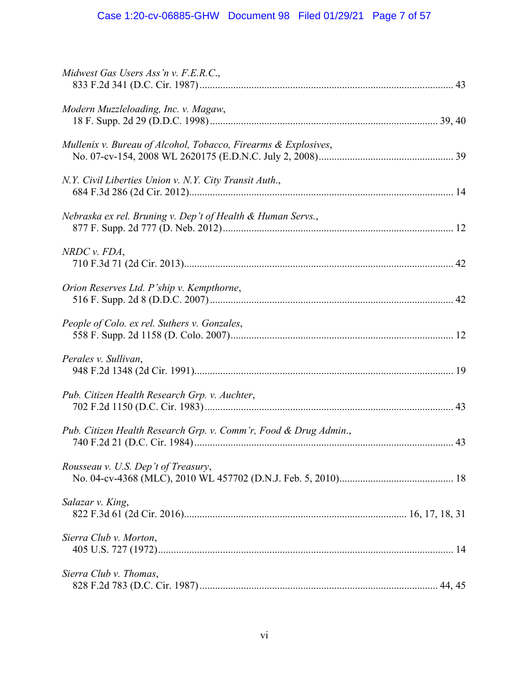| Midwest Gas Users Ass'n v. F.E.R.C.,                             |
|------------------------------------------------------------------|
| Modern Muzzleloading, Inc. v. Magaw,                             |
| Mullenix v. Bureau of Alcohol, Tobacco, Firearms & Explosives,   |
| N.Y. Civil Liberties Union v. N.Y. City Transit Auth.,           |
| Nebraska ex rel. Bruning v. Dep't of Health & Human Servs.,      |
| $NRDC$ v. $FDA$ ,                                                |
| Orion Reserves Ltd. P'ship v. Kempthorne,                        |
| People of Colo. ex rel. Suthers v. Gonzales,                     |
| Perales v. Sullivan,                                             |
| Pub. Citizen Health Research Grp. v. Auchter,                    |
| Pub. Citizen Health Research Grp. v. Comm'r, Food & Drug Admin., |
| Rousseau v. U.S. Dep't of Treasury,                              |
| Salazar v. King,                                                 |
| Sierra Club v. Morton,                                           |
| Sierra Club v. Thomas,                                           |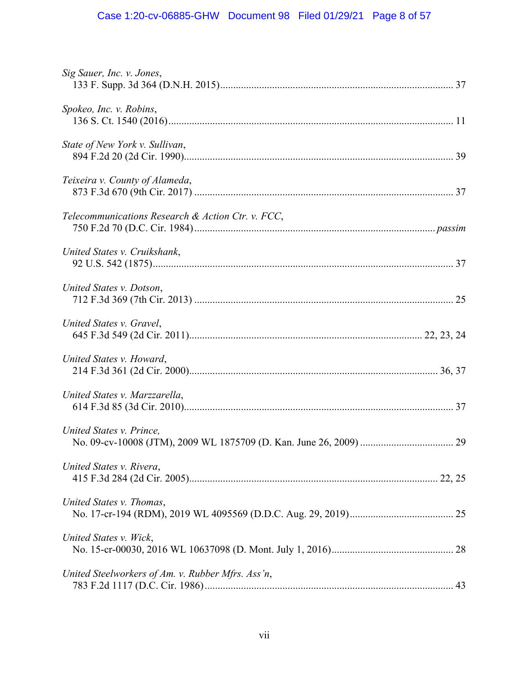# Case 1:20-cv-06885-GHW Document 98 Filed 01/29/21 Page 8 of 57

| Sig Sauer, Inc. v. Jones,                         |
|---------------------------------------------------|
| Spokeo, Inc. v. Robins,                           |
| State of New York v. Sullivan,                    |
| Teixeira v. County of Alameda,                    |
| Telecommunications Research & Action Ctr. v. FCC, |
| United States v. Cruikshank,                      |
| United States v. Dotson,                          |
| United States v. Gravel,                          |
| United States v. Howard,                          |
| United States v. Marzzarella,                     |
| United States v. Prince,                          |
| United States v. Rivera,                          |
| United States v. Thomas,                          |
| United States v. Wick,                            |
| United Steelworkers of Am. v. Rubber Mfrs. Ass'n, |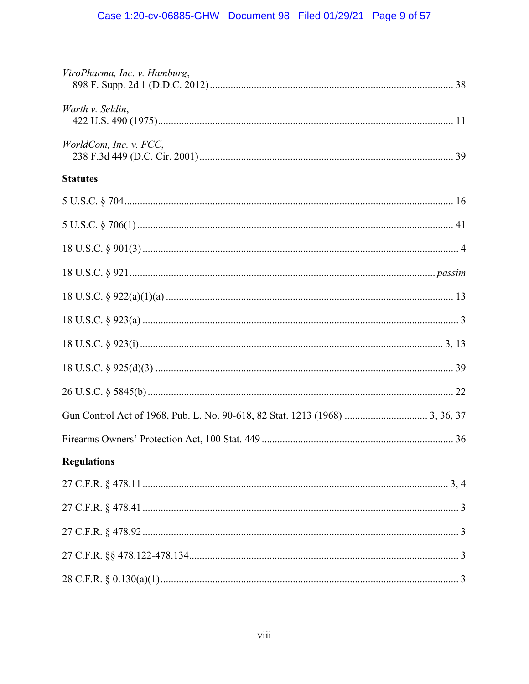| ViroPharma, Inc. v. Hamburg, |
|------------------------------|
| Warth v. Seldin,             |
| WorldCom, Inc. v. FCC,       |
| <b>Statutes</b>              |
|                              |
|                              |
|                              |
|                              |
|                              |
|                              |
|                              |
|                              |
|                              |
|                              |
|                              |
| <b>Regulations</b>           |
|                              |
|                              |
|                              |
|                              |
|                              |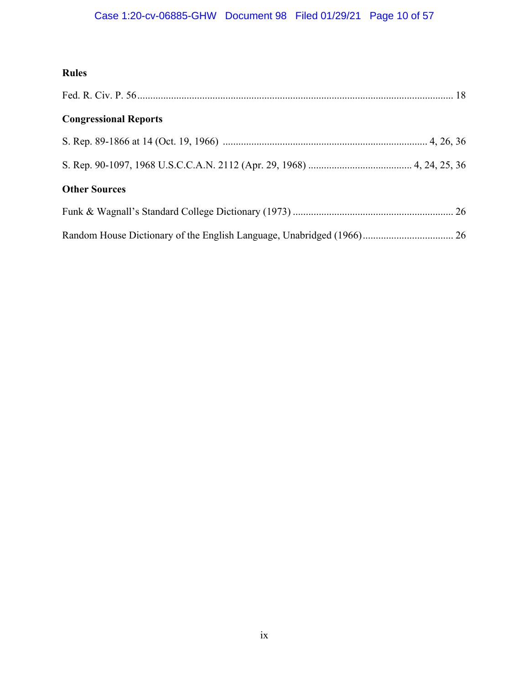# Case 1:20-cv-06885-GHW Document 98 Filed 01/29/21 Page 10 of 57

## **Rules**

| <b>Congressional Reports</b> |  |
|------------------------------|--|
|                              |  |
|                              |  |
| <b>Other Sources</b>         |  |
|                              |  |
|                              |  |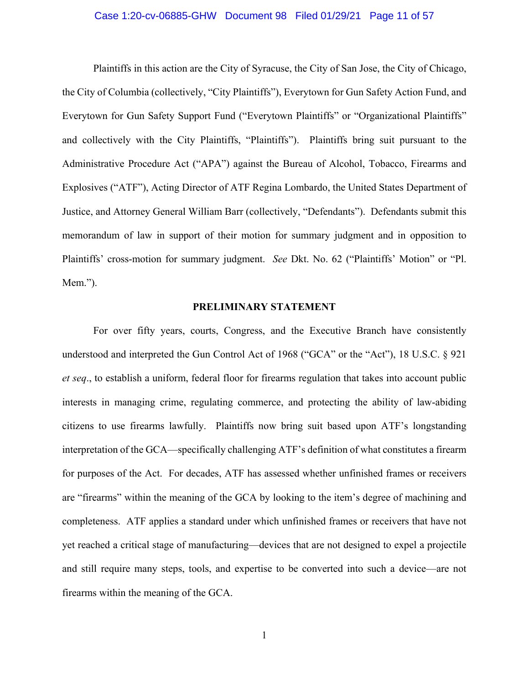#### Case 1:20-cv-06885-GHW Document 98 Filed 01/29/21 Page 11 of 57

Plaintiffs in this action are the City of Syracuse, the City of San Jose, the City of Chicago, the City of Columbia (collectively, "City Plaintiffs"), Everytown for Gun Safety Action Fund, and Everytown for Gun Safety Support Fund ("Everytown Plaintiffs" or "Organizational Plaintiffs" and collectively with the City Plaintiffs, "Plaintiffs"). Plaintiffs bring suit pursuant to the Administrative Procedure Act ("APA") against the Bureau of Alcohol, Tobacco, Firearms and Explosives ("ATF"), Acting Director of ATF Regina Lombardo, the United States Department of Justice, and Attorney General William Barr (collectively, "Defendants"). Defendants submit this memorandum of law in support of their motion for summary judgment and in opposition to Plaintiffs' cross-motion for summary judgment. *See* Dkt. No. 62 ("Plaintiffs' Motion" or "Pl. Mem.").

#### **PRELIMINARY STATEMENT**

For over fifty years, courts, Congress, and the Executive Branch have consistently understood and interpreted the Gun Control Act of 1968 ("GCA" or the "Act"), 18 U.S.C. § 921 *et seq*., to establish a uniform, federal floor for firearms regulation that takes into account public interests in managing crime, regulating commerce, and protecting the ability of law-abiding citizens to use firearms lawfully. Plaintiffs now bring suit based upon ATF's longstanding interpretation of the GCA—specifically challenging ATF's definition of what constitutes a firearm for purposes of the Act. For decades, ATF has assessed whether unfinished frames or receivers are "firearms" within the meaning of the GCA by looking to the item's degree of machining and completeness. ATF applies a standard under which unfinished frames or receivers that have not yet reached a critical stage of manufacturing—devices that are not designed to expel a projectile and still require many steps, tools, and expertise to be converted into such a device—are not firearms within the meaning of the GCA.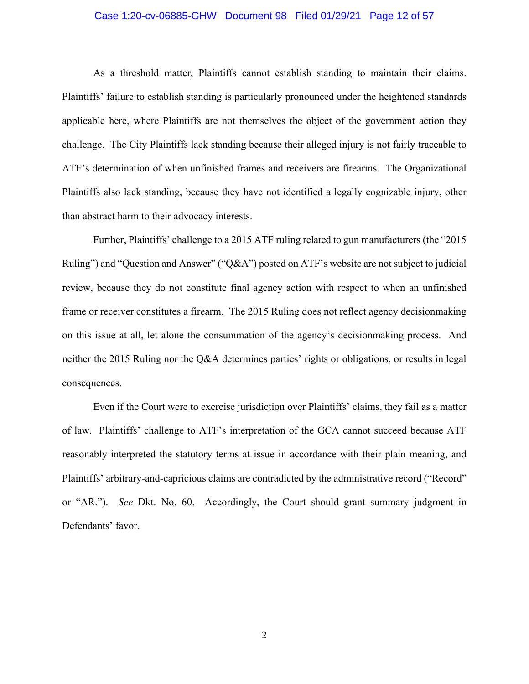#### Case 1:20-cv-06885-GHW Document 98 Filed 01/29/21 Page 12 of 57

As a threshold matter, Plaintiffs cannot establish standing to maintain their claims. Plaintiffs' failure to establish standing is particularly pronounced under the heightened standards applicable here, where Plaintiffs are not themselves the object of the government action they challenge. The City Plaintiffs lack standing because their alleged injury is not fairly traceable to ATF's determination of when unfinished frames and receivers are firearms. The Organizational Plaintiffs also lack standing, because they have not identified a legally cognizable injury, other than abstract harm to their advocacy interests.

Further, Plaintiffs' challenge to a 2015 ATF ruling related to gun manufacturers (the "2015 Ruling") and "Question and Answer" ("Q&A") posted on ATF's website are not subject to judicial review, because they do not constitute final agency action with respect to when an unfinished frame or receiver constitutes a firearm. The 2015 Ruling does not reflect agency decisionmaking on this issue at all, let alone the consummation of the agency's decisionmaking process. And neither the 2015 Ruling nor the Q&A determines parties' rights or obligations, or results in legal consequences.

Even if the Court were to exercise jurisdiction over Plaintiffs' claims, they fail as a matter of law. Plaintiffs' challenge to ATF's interpretation of the GCA cannot succeed because ATF reasonably interpreted the statutory terms at issue in accordance with their plain meaning, and Plaintiffs' arbitrary-and-capricious claims are contradicted by the administrative record ("Record" or "AR."). *See* Dkt. No. 60. Accordingly, the Court should grant summary judgment in Defendants' favor.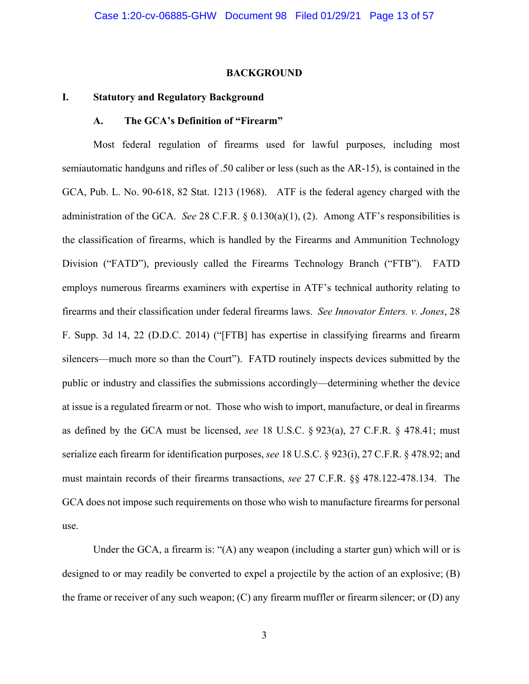#### **BACKGROUND**

#### **I. Statutory and Regulatory Background**

#### **A. The GCA's Definition of "Firearm"**

Most federal regulation of firearms used for lawful purposes, including most semiautomatic handguns and rifles of .50 caliber or less (such as the AR-15), is contained in the GCA, Pub. L. No. 90-618, 82 Stat. 1213 (1968). ATF is the federal agency charged with the administration of the GCA. *See* 28 C.F.R. § 0.130(a)(1), (2). Among ATF's responsibilities is the classification of firearms, which is handled by the Firearms and Ammunition Technology Division ("FATD"), previously called the Firearms Technology Branch ("FTB"). FATD employs numerous firearms examiners with expertise in ATF's technical authority relating to firearms and their classification under federal firearms laws. *See Innovator Enters. v. Jones*, 28 F. Supp. 3d 14, 22 (D.D.C. 2014) ("[FTB] has expertise in classifying firearms and firearm silencers—much more so than the Court"). FATD routinely inspects devices submitted by the public or industry and classifies the submissions accordingly—determining whether the device at issue is a regulated firearm or not. Those who wish to import, manufacture, or deal in firearms as defined by the GCA must be licensed, *see* 18 U.S.C. § 923(a), 27 C.F.R. § 478.41; must serialize each firearm for identification purposes, *see* 18 U.S.C. § 923(i), 27 C.F.R. § 478.92; and must maintain records of their firearms transactions, *see* 27 C.F.R. §§ 478.122-478.134. The GCA does not impose such requirements on those who wish to manufacture firearms for personal use.

Under the GCA, a firearm is: "(A) any weapon (including a starter gun) which will or is designed to or may readily be converted to expel a projectile by the action of an explosive; (B) the frame or receiver of any such weapon; (C) any firearm muffler or firearm silencer; or (D) any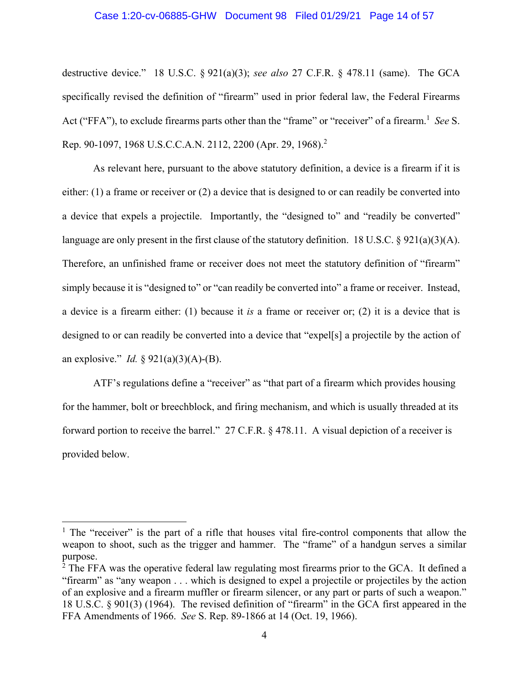#### Case 1:20-cv-06885-GHW Document 98 Filed 01/29/21 Page 14 of 57

destructive device." 18 U.S.C. § 921(a)(3); *see also* 27 C.F.R. § 478.11 (same). The GCA specifically revised the definition of "firearm" used in prior federal law, the Federal Firearms Act ("FFA"), to exclude firearms parts other than the "frame" or "receiver" of a firearm.<sup>1</sup> See S. Rep. 90-1097, 1968 U.S.C.C.A.N. 2112, 2200 (Apr. 29, 1968).<sup>2</sup>

As relevant here, pursuant to the above statutory definition, a device is a firearm if it is either: (1) a frame or receiver or (2) a device that is designed to or can readily be converted into a device that expels a projectile. Importantly, the "designed to" and "readily be converted" language are only present in the first clause of the statutory definition. 18 U.S.C.  $\S$  921(a)(3)(A). Therefore, an unfinished frame or receiver does not meet the statutory definition of "firearm" simply because it is "designed to" or "can readily be converted into" a frame or receiver. Instead, a device is a firearm either: (1) because it *is* a frame or receiver or; (2) it is a device that is designed to or can readily be converted into a device that "expel[s] a projectile by the action of an explosive." *Id.* § 921(a)(3)(A)-(B).

ATF's regulations define a "receiver" as "that part of a firearm which provides housing for the hammer, bolt or breechblock, and firing mechanism, and which is usually threaded at its forward portion to receive the barrel." 27 C.F.R. § 478.11. A visual depiction of a receiver is provided below.

<sup>&</sup>lt;sup>1</sup> The "receiver" is the part of a rifle that houses vital fire-control components that allow the weapon to shoot, such as the trigger and hammer. The "frame" of a handgun serves a similar purpose.

 $2$  The FFA was the operative federal law regulating most firearms prior to the GCA. It defined a "firearm" as "any weapon . . . which is designed to expel a projectile or projectiles by the action of an explosive and a firearm muffler or firearm silencer, or any part or parts of such a weapon." 18 U.S.C. § 901(3) (1964). The revised definition of "firearm" in the GCA first appeared in the FFA Amendments of 1966. *See* S. Rep. 89-1866 at 14 (Oct. 19, 1966).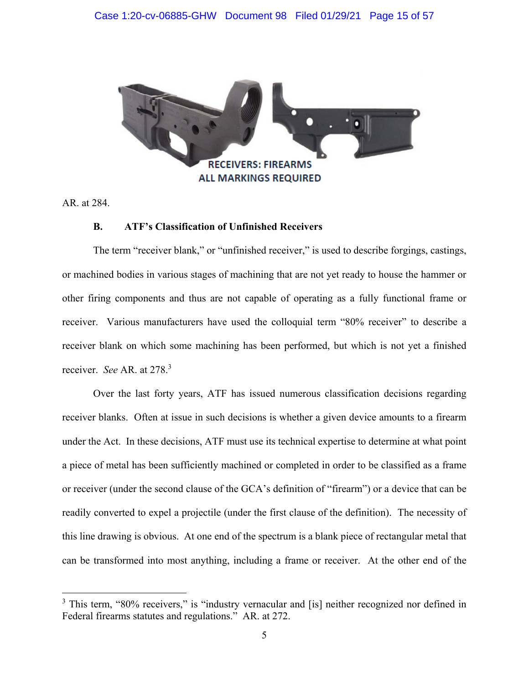

AR. at 284.

 $\overline{a}$ 

#### **B. ATF's Classification of Unfinished Receivers**

The term "receiver blank," or "unfinished receiver," is used to describe forgings, castings, or machined bodies in various stages of machining that are not yet ready to house the hammer or other firing components and thus are not capable of operating as a fully functional frame or receiver. Various manufacturers have used the colloquial term "80% receiver" to describe a receiver blank on which some machining has been performed, but which is not yet a finished receiver. *See* AR. at 278.3

Over the last forty years, ATF has issued numerous classification decisions regarding receiver blanks. Often at issue in such decisions is whether a given device amounts to a firearm under the Act. In these decisions, ATF must use its technical expertise to determine at what point a piece of metal has been sufficiently machined or completed in order to be classified as a frame or receiver (under the second clause of the GCA's definition of "firearm") or a device that can be readily converted to expel a projectile (under the first clause of the definition). The necessity of this line drawing is obvious. At one end of the spectrum is a blank piece of rectangular metal that can be transformed into most anything, including a frame or receiver. At the other end of the

<sup>&</sup>lt;sup>3</sup> This term, "80% receivers," is "industry vernacular and [is] neither recognized nor defined in Federal firearms statutes and regulations." AR. at 272.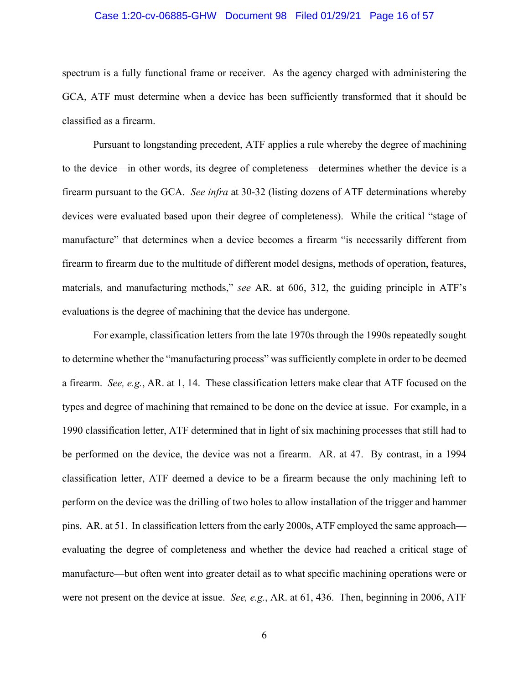#### Case 1:20-cv-06885-GHW Document 98 Filed 01/29/21 Page 16 of 57

spectrum is a fully functional frame or receiver. As the agency charged with administering the GCA, ATF must determine when a device has been sufficiently transformed that it should be classified as a firearm.

 Pursuant to longstanding precedent, ATF applies a rule whereby the degree of machining to the device—in other words, its degree of completeness—determines whether the device is a firearm pursuant to the GCA. *See infra* at 30-32 (listing dozens of ATF determinations whereby devices were evaluated based upon their degree of completeness). While the critical "stage of manufacture" that determines when a device becomes a firearm "is necessarily different from firearm to firearm due to the multitude of different model designs, methods of operation, features, materials, and manufacturing methods," *see* AR. at 606, 312, the guiding principle in ATF's evaluations is the degree of machining that the device has undergone.

 For example, classification letters from the late 1970s through the 1990s repeatedly sought to determine whether the "manufacturing process" was sufficiently complete in order to be deemed a firearm. *See, e.g.*, AR. at 1, 14. These classification letters make clear that ATF focused on the types and degree of machining that remained to be done on the device at issue. For example, in a 1990 classification letter, ATF determined that in light of six machining processes that still had to be performed on the device, the device was not a firearm. AR. at 47. By contrast, in a 1994 classification letter, ATF deemed a device to be a firearm because the only machining left to perform on the device was the drilling of two holes to allow installation of the trigger and hammer pins. AR. at 51. In classification letters from the early 2000s, ATF employed the same approach evaluating the degree of completeness and whether the device had reached a critical stage of manufacture—but often went into greater detail as to what specific machining operations were or were not present on the device at issue. *See, e.g.*, AR. at 61, 436. Then, beginning in 2006, ATF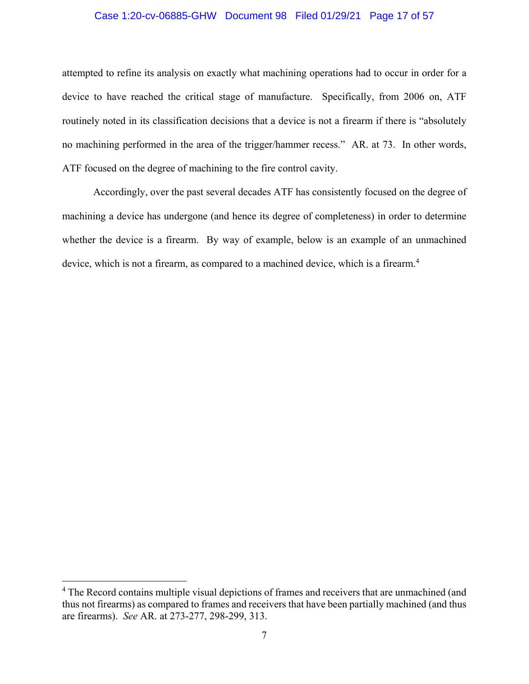#### Case 1:20-cv-06885-GHW Document 98 Filed 01/29/21 Page 17 of 57

attempted to refine its analysis on exactly what machining operations had to occur in order for a device to have reached the critical stage of manufacture. Specifically, from 2006 on, ATF routinely noted in its classification decisions that a device is not a firearm if there is "absolutely no machining performed in the area of the trigger/hammer recess." AR. at 73. In other words, ATF focused on the degree of machining to the fire control cavity.

 Accordingly, over the past several decades ATF has consistently focused on the degree of machining a device has undergone (and hence its degree of completeness) in order to determine whether the device is a firearm. By way of example, below is an example of an unmachined device, which is not a firearm, as compared to a machined device, which is a firearm.<sup>4</sup>

1

<sup>&</sup>lt;sup>4</sup> The Record contains multiple visual depictions of frames and receivers that are unmachined (and thus not firearms) as compared to frames and receivers that have been partially machined (and thus are firearms). *See* AR. at 273-277, 298-299, 313.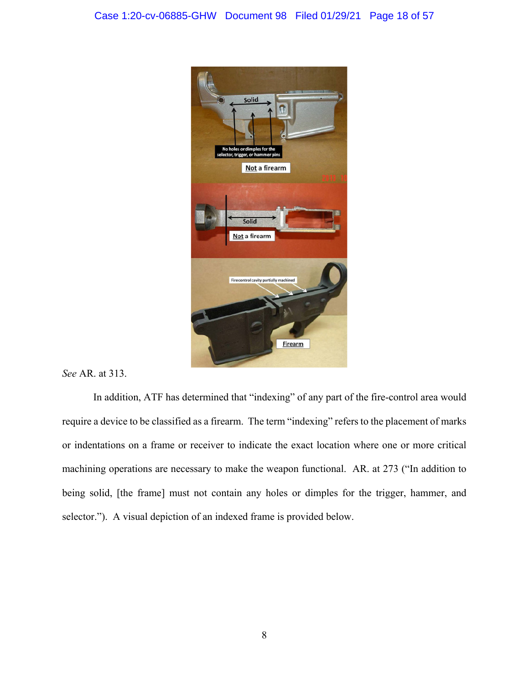

*See* AR. at 313.

 In addition, ATF has determined that "indexing" of any part of the fire-control area would require a device to be classified as a firearm. The term "indexing" refers to the placement of marks or indentations on a frame or receiver to indicate the exact location where one or more critical machining operations are necessary to make the weapon functional. AR. at 273 ("In addition to being solid, [the frame] must not contain any holes or dimples for the trigger, hammer, and selector."). A visual depiction of an indexed frame is provided below.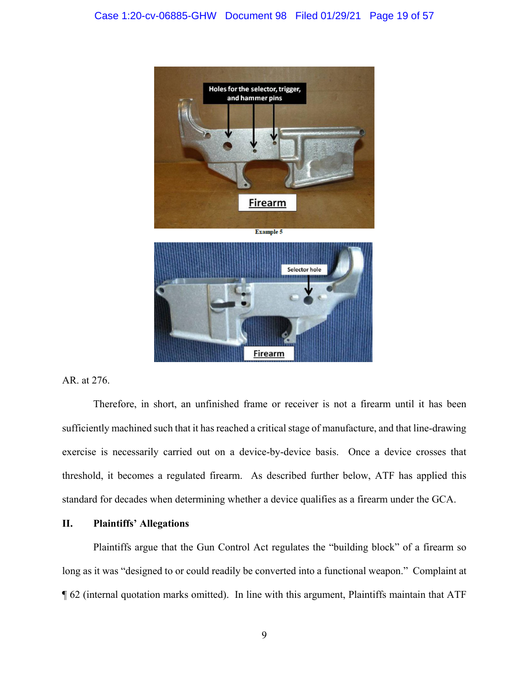

AR. at 276.

Therefore, in short, an unfinished frame or receiver is not a firearm until it has been sufficiently machined such that it has reached a critical stage of manufacture, and that line-drawing exercise is necessarily carried out on a device-by-device basis. Once a device crosses that threshold, it becomes a regulated firearm. As described further below, ATF has applied this standard for decades when determining whether a device qualifies as a firearm under the GCA.

#### **II. Plaintiffs' Allegations**

Plaintiffs argue that the Gun Control Act regulates the "building block" of a firearm so long as it was "designed to or could readily be converted into a functional weapon." Complaint at ¶ 62 (internal quotation marks omitted). In line with this argument, Plaintiffs maintain that ATF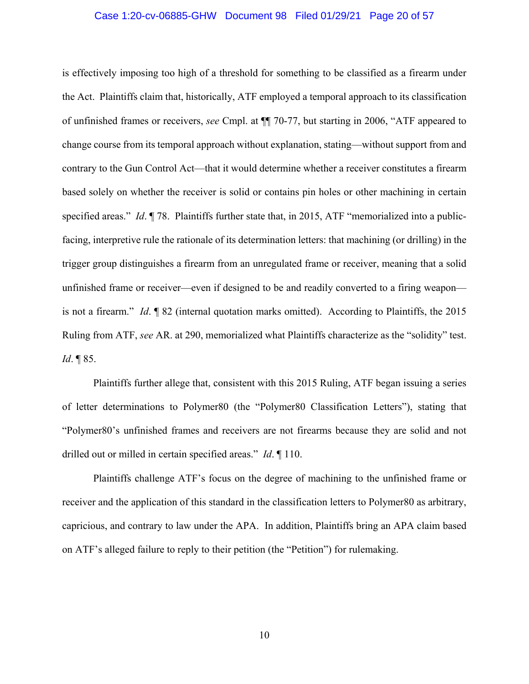#### Case 1:20-cv-06885-GHW Document 98 Filed 01/29/21 Page 20 of 57

is effectively imposing too high of a threshold for something to be classified as a firearm under the Act. Plaintiffs claim that, historically, ATF employed a temporal approach to its classification of unfinished frames or receivers, *see* Cmpl. at ¶¶ 70-77, but starting in 2006, "ATF appeared to change course from its temporal approach without explanation, stating—without support from and contrary to the Gun Control Act—that it would determine whether a receiver constitutes a firearm based solely on whether the receiver is solid or contains pin holes or other machining in certain specified areas." *Id*. ¶ 78. Plaintiffs further state that, in 2015, ATF "memorialized into a publicfacing, interpretive rule the rationale of its determination letters: that machining (or drilling) in the trigger group distinguishes a firearm from an unregulated frame or receiver, meaning that a solid unfinished frame or receiver—even if designed to be and readily converted to a firing weapon is not a firearm." *Id*. ¶ 82 (internal quotation marks omitted). According to Plaintiffs, the 2015 Ruling from ATF, *see* AR. at 290, memorialized what Plaintiffs characterize as the "solidity" test. *Id*. ¶ 85.

 Plaintiffs further allege that, consistent with this 2015 Ruling, ATF began issuing a series of letter determinations to Polymer80 (the "Polymer80 Classification Letters"), stating that "Polymer80's unfinished frames and receivers are not firearms because they are solid and not drilled out or milled in certain specified areas." *Id*. ¶ 110.

 Plaintiffs challenge ATF's focus on the degree of machining to the unfinished frame or receiver and the application of this standard in the classification letters to Polymer80 as arbitrary, capricious, and contrary to law under the APA. In addition, Plaintiffs bring an APA claim based on ATF's alleged failure to reply to their petition (the "Petition") for rulemaking.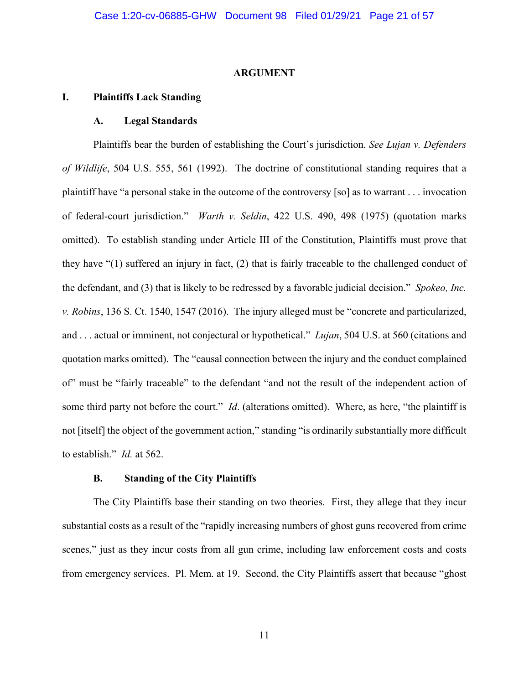#### **ARGUMENT**

#### **I. Plaintiffs Lack Standing**

#### **A. Legal Standards**

 Plaintiffs bear the burden of establishing the Court's jurisdiction. *See Lujan v. Defenders of Wildlife*, 504 U.S. 555, 561 (1992). The doctrine of constitutional standing requires that a plaintiff have "a personal stake in the outcome of the controversy [so] as to warrant . . . invocation of federal-court jurisdiction." *Warth v. Seldin*, 422 U.S. 490, 498 (1975) (quotation marks omitted). To establish standing under Article III of the Constitution, Plaintiffs must prove that they have "(1) suffered an injury in fact, (2) that is fairly traceable to the challenged conduct of the defendant, and (3) that is likely to be redressed by a favorable judicial decision." *Spokeo, Inc. v. Robins*, 136 S. Ct. 1540, 1547 (2016). The injury alleged must be "concrete and particularized, and . . . actual or imminent, not conjectural or hypothetical." *Lujan*, 504 U.S. at 560 (citations and quotation marks omitted). The "causal connection between the injury and the conduct complained of" must be "fairly traceable" to the defendant "and not the result of the independent action of some third party not before the court." *Id*. (alterations omitted). Where, as here, "the plaintiff is not [itself] the object of the government action," standing "is ordinarily substantially more difficult to establish." *Id.* at 562.

#### **B. Standing of the City Plaintiffs**

The City Plaintiffs base their standing on two theories. First, they allege that they incur substantial costs as a result of the "rapidly increasing numbers of ghost guns recovered from crime scenes," just as they incur costs from all gun crime, including law enforcement costs and costs from emergency services. Pl. Mem. at 19. Second, the City Plaintiffs assert that because "ghost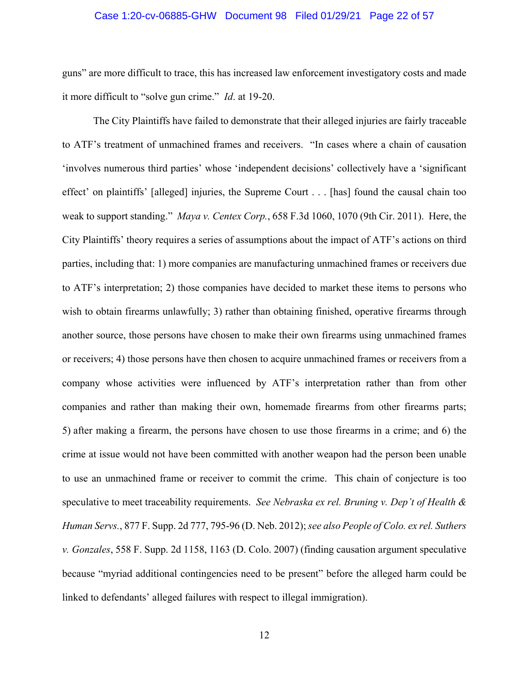#### Case 1:20-cv-06885-GHW Document 98 Filed 01/29/21 Page 22 of 57

guns" are more difficult to trace, this has increased law enforcement investigatory costs and made it more difficult to "solve gun crime." *Id*. at 19-20.

The City Plaintiffs have failed to demonstrate that their alleged injuries are fairly traceable to ATF's treatment of unmachined frames and receivers. "In cases where a chain of causation 'involves numerous third parties' whose 'independent decisions' collectively have a 'significant effect' on plaintiffs' [alleged] injuries, the Supreme Court . . . [has] found the causal chain too weak to support standing." *Maya v. Centex Corp.*, 658 F.3d 1060, 1070 (9th Cir. 2011). Here, the City Plaintiffs' theory requires a series of assumptions about the impact of ATF's actions on third parties, including that: 1) more companies are manufacturing unmachined frames or receivers due to ATF's interpretation; 2) those companies have decided to market these items to persons who wish to obtain firearms unlawfully; 3) rather than obtaining finished, operative firearms through another source, those persons have chosen to make their own firearms using unmachined frames or receivers; 4) those persons have then chosen to acquire unmachined frames or receivers from a company whose activities were influenced by ATF's interpretation rather than from other companies and rather than making their own, homemade firearms from other firearms parts; 5) after making a firearm, the persons have chosen to use those firearms in a crime; and 6) the crime at issue would not have been committed with another weapon had the person been unable to use an unmachined frame or receiver to commit the crime. This chain of conjecture is too speculative to meet traceability requirements. *See Nebraska ex rel. Bruning v. Dep't of Health & Human Servs.*, 877 F. Supp. 2d 777, 795-96 (D. Neb. 2012); *see also People of Colo. ex rel. Suthers v. Gonzales*, 558 F. Supp. 2d 1158, 1163 (D. Colo. 2007) (finding causation argument speculative because "myriad additional contingencies need to be present" before the alleged harm could be linked to defendants' alleged failures with respect to illegal immigration).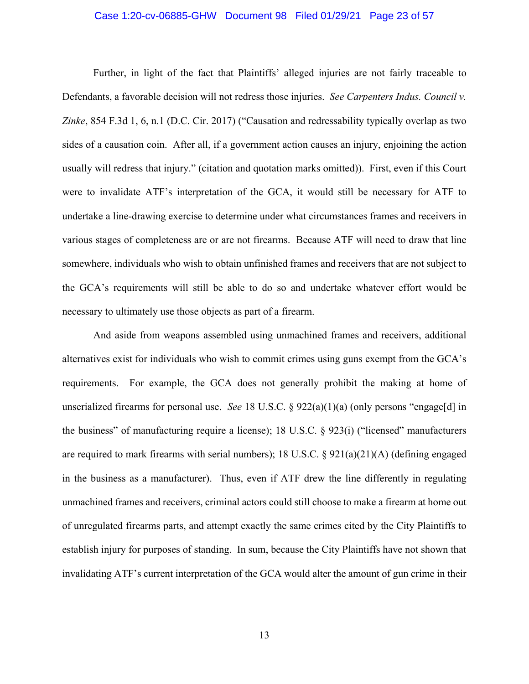#### Case 1:20-cv-06885-GHW Document 98 Filed 01/29/21 Page 23 of 57

Further, in light of the fact that Plaintiffs' alleged injuries are not fairly traceable to Defendants, a favorable decision will not redress those injuries. *See Carpenters Indus. Council v. Zinke*, 854 F.3d 1, 6, n.1 (D.C. Cir. 2017) ("Causation and redressability typically overlap as two sides of a causation coin. After all, if a government action causes an injury, enjoining the action usually will redress that injury." (citation and quotation marks omitted)). First, even if this Court were to invalidate ATF's interpretation of the GCA, it would still be necessary for ATF to undertake a line-drawing exercise to determine under what circumstances frames and receivers in various stages of completeness are or are not firearms. Because ATF will need to draw that line somewhere, individuals who wish to obtain unfinished frames and receivers that are not subject to the GCA's requirements will still be able to do so and undertake whatever effort would be necessary to ultimately use those objects as part of a firearm.

And aside from weapons assembled using unmachined frames and receivers, additional alternatives exist for individuals who wish to commit crimes using guns exempt from the GCA's requirements. For example, the GCA does not generally prohibit the making at home of unserialized firearms for personal use. *See* 18 U.S.C. § 922(a)(1)(a) (only persons "engage[d] in the business" of manufacturing require a license); 18 U.S.C. § 923(i) ("licensed" manufacturers are required to mark firearms with serial numbers); 18 U.S.C.  $\S$  921(a)(21)(A) (defining engaged in the business as a manufacturer). Thus, even if ATF drew the line differently in regulating unmachined frames and receivers, criminal actors could still choose to make a firearm at home out of unregulated firearms parts, and attempt exactly the same crimes cited by the City Plaintiffs to establish injury for purposes of standing. In sum, because the City Plaintiffs have not shown that invalidating ATF's current interpretation of the GCA would alter the amount of gun crime in their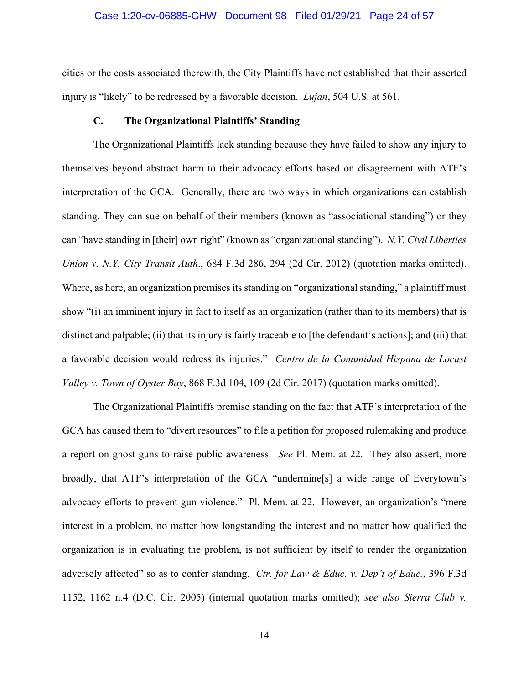#### Case 1:20-cv-06885-GHW Document 98 Filed 01/29/21 Page 24 of 57

cities or the costs associated therewith, the City Plaintiffs have not established that their asserted injury is "likely" to be redressed by a favorable decision. *Lujan*, 504 U.S. at 561.

#### **C. The Organizational Plaintiffs' Standing**

The Organizational Plaintiffs lack standing because they have failed to show any injury to themselves beyond abstract harm to their advocacy efforts based on disagreement with ATF's interpretation of the GCA. Generally, there are two ways in which organizations can establish standing. They can sue on behalf of their members (known as "associational standing") or they can "have standing in [their] own right" (known as "organizational standing"). *N.Y. Civil Liberties Union v. N.Y. City Transit Auth*., 684 F.3d 286, 294 (2d Cir. 2012) (quotation marks omitted). Where, as here, an organization premises its standing on "organizational standing," a plaintiff must show "(i) an imminent injury in fact to itself as an organization (rather than to its members) that is distinct and palpable; (ii) that its injury is fairly traceable to [the defendant's actions]; and (iii) that a favorable decision would redress its injuries." *Centro de la Comunidad Hispana de Locust Valley v. Town of Oyster Bay*, 868 F.3d 104, 109 (2d Cir. 2017) (quotation marks omitted).

The Organizational Plaintiffs premise standing on the fact that ATF's interpretation of the GCA has caused them to "divert resources" to file a petition for proposed rulemaking and produce a report on ghost guns to raise public awareness. *See* Pl. Mem. at 22. They also assert, more broadly, that ATF's interpretation of the GCA "undermine[s] a wide range of Everytown's advocacy efforts to prevent gun violence." Pl. Mem. at 22. However, an organization's "mere interest in a problem, no matter how longstanding the interest and no matter how qualified the organization is in evaluating the problem, is not sufficient by itself to render the organization adversely affected" so as to confer standing. *Ctr. for Law & Educ. v. Dep't of Educ.*, 396 F.3d 1152, 1162 n.4 (D.C. Cir. 2005) (internal quotation marks omitted); *see also Sierra Club v.*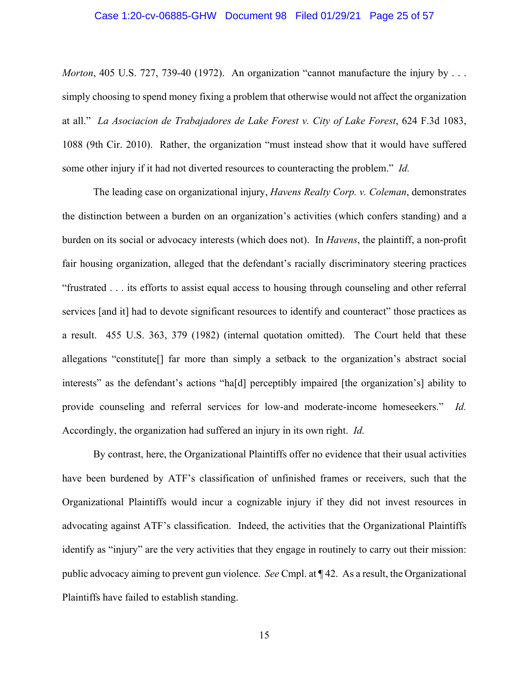#### Case 1:20-cv-06885-GHW Document 98 Filed 01/29/21 Page 25 of 57

*Morton*, 405 U.S. 727, 739-40 (1972). An organization "cannot manufacture the injury by ... simply choosing to spend money fixing a problem that otherwise would not affect the organization at all." *La Asociacion de Trabajadores de Lake Forest v. City of Lake Forest*, 624 F.3d 1083, 1088 (9th Cir. 2010). Rather, the organization "must instead show that it would have suffered some other injury if it had not diverted resources to counteracting the problem." *Id.*

The leading case on organizational injury, *Havens Realty Corp. v. Coleman*, demonstrates the distinction between a burden on an organization's activities (which confers standing) and a burden on its social or advocacy interests (which does not). In *Havens*, the plaintiff, a non-profit fair housing organization, alleged that the defendant's racially discriminatory steering practices "frustrated . . . its efforts to assist equal access to housing through counseling and other referral services [and it] had to devote significant resources to identify and counteract" those practices as a result. 455 U.S. 363, 379 (1982) (internal quotation omitted). The Court held that these allegations "constitute[] far more than simply a setback to the organization's abstract social interests" as the defendant's actions "ha[d] perceptibly impaired [the organization's] ability to provide counseling and referral services for low-and moderate-income homeseekers." *Id.*  Accordingly, the organization had suffered an injury in its own right. *Id.* 

By contrast, here, the Organizational Plaintiffs offer no evidence that their usual activities have been burdened by ATF's classification of unfinished frames or receivers, such that the Organizational Plaintiffs would incur a cognizable injury if they did not invest resources in advocating against ATF's classification. Indeed, the activities that the Organizational Plaintiffs identify as "injury" are the very activities that they engage in routinely to carry out their mission: public advocacy aiming to prevent gun violence. *See* Cmpl. at ¶ 42. As a result, the Organizational Plaintiffs have failed to establish standing.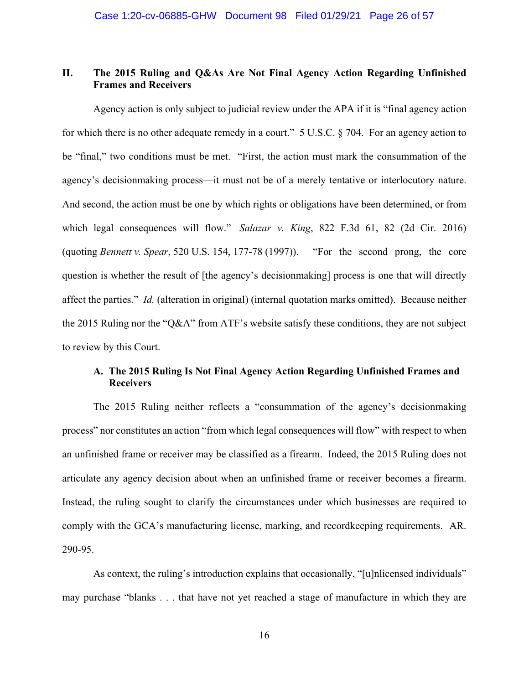## **II. The 2015 Ruling and Q&As Are Not Final Agency Action Regarding Unfinished Frames and Receivers**

 Agency action is only subject to judicial review under the APA if it is "final agency action for which there is no other adequate remedy in a court." 5 U.S.C. § 704. For an agency action to be "final," two conditions must be met. "First, the action must mark the consummation of the agency's decisionmaking process—it must not be of a merely tentative or interlocutory nature. And second, the action must be one by which rights or obligations have been determined, or from which legal consequences will flow." *Salazar v. King*, 822 F.3d 61, 82 (2d Cir. 2016) (quoting *Bennett v. Spear*, 520 U.S. 154, 177-78 (1997)). "For the second prong, the core question is whether the result of [the agency's decisionmaking] process is one that will directly affect the parties." *Id.* (alteration in original) (internal quotation marks omitted). Because neither the 2015 Ruling nor the "Q&A" from ATF's website satisfy these conditions, they are not subject to review by this Court.

## **A. The 2015 Ruling Is Not Final Agency Action Regarding Unfinished Frames and Receivers**

The 2015 Ruling neither reflects a "consummation of the agency's decisionmaking process" nor constitutes an action "from which legal consequences will flow" with respect to when an unfinished frame or receiver may be classified as a firearm. Indeed, the 2015 Ruling does not articulate any agency decision about when an unfinished frame or receiver becomes a firearm. Instead, the ruling sought to clarify the circumstances under which businesses are required to comply with the GCA's manufacturing license, marking, and recordkeeping requirements. AR. 290-95.

As context, the ruling's introduction explains that occasionally, "[u]nlicensed individuals" may purchase "blanks . . . that have not yet reached a stage of manufacture in which they are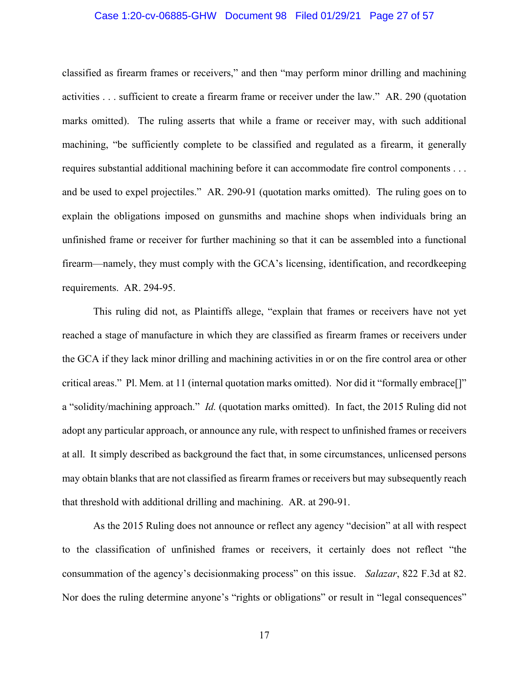#### Case 1:20-cv-06885-GHW Document 98 Filed 01/29/21 Page 27 of 57

classified as firearm frames or receivers," and then "may perform minor drilling and machining activities . . . sufficient to create a firearm frame or receiver under the law." AR. 290 (quotation marks omitted). The ruling asserts that while a frame or receiver may, with such additional machining, "be sufficiently complete to be classified and regulated as a firearm, it generally requires substantial additional machining before it can accommodate fire control components . . . and be used to expel projectiles." AR. 290-91 (quotation marks omitted). The ruling goes on to explain the obligations imposed on gunsmiths and machine shops when individuals bring an unfinished frame or receiver for further machining so that it can be assembled into a functional firearm—namely, they must comply with the GCA's licensing, identification, and recordkeeping requirements. AR. 294-95.

This ruling did not, as Plaintiffs allege, "explain that frames or receivers have not yet reached a stage of manufacture in which they are classified as firearm frames or receivers under the GCA if they lack minor drilling and machining activities in or on the fire control area or other critical areas." Pl. Mem. at 11 (internal quotation marks omitted). Nor did it "formally embrace[]" a "solidity/machining approach." *Id.* (quotation marks omitted). In fact, the 2015 Ruling did not adopt any particular approach, or announce any rule, with respect to unfinished frames or receivers at all. It simply described as background the fact that, in some circumstances, unlicensed persons may obtain blanks that are not classified as firearm frames or receivers but may subsequently reach that threshold with additional drilling and machining. AR. at 290-91.

As the 2015 Ruling does not announce or reflect any agency "decision" at all with respect to the classification of unfinished frames or receivers, it certainly does not reflect "the consummation of the agency's decisionmaking process" on this issue. *Salazar*, 822 F.3d at 82. Nor does the ruling determine anyone's "rights or obligations" or result in "legal consequences"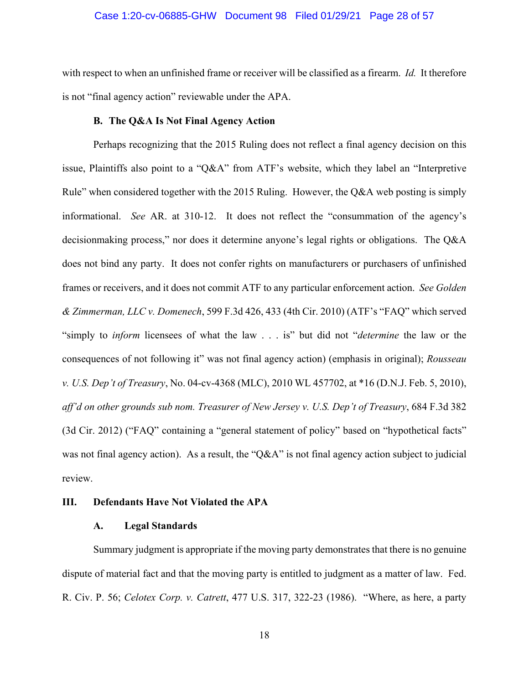#### Case 1:20-cv-06885-GHW Document 98 Filed 01/29/21 Page 28 of 57

with respect to when an unfinished frame or receiver will be classified as a firearm. *Id.* It therefore is not "final agency action" reviewable under the APA.

## **B. The Q&A Is Not Final Agency Action**

Perhaps recognizing that the 2015 Ruling does not reflect a final agency decision on this issue, Plaintiffs also point to a "Q&A" from ATF's website, which they label an "Interpretive Rule" when considered together with the 2015 Ruling. However, the Q&A web posting is simply informational. *See* AR. at 310-12. It does not reflect the "consummation of the agency's decisionmaking process," nor does it determine anyone's legal rights or obligations. The Q&A does not bind any party. It does not confer rights on manufacturers or purchasers of unfinished frames or receivers, and it does not commit ATF to any particular enforcement action. *See Golden & Zimmerman, LLC v. Domenech*, 599 F.3d 426, 433 (4th Cir. 2010) (ATF's "FAQ" which served "simply to *inform* licensees of what the law . . . is" but did not "*determine* the law or the consequences of not following it" was not final agency action) (emphasis in original); *Rousseau v. U.S. Dep't of Treasury*, No. 04-cv-4368 (MLC), 2010 WL 457702, at \*16 (D.N.J. Feb. 5, 2010), *aff'd on other grounds sub nom. Treasurer of New Jersey v. U.S. Dep't of Treasury*, 684 F.3d 382 (3d Cir. 2012) ("FAQ" containing a "general statement of policy" based on "hypothetical facts" was not final agency action). As a result, the "Q&A" is not final agency action subject to judicial review.

#### **III. Defendants Have Not Violated the APA**

#### **A. Legal Standards**

Summary judgment is appropriate if the moving party demonstrates that there is no genuine dispute of material fact and that the moving party is entitled to judgment as a matter of law. Fed. R. Civ. P. 56; *Celotex Corp. v. Catrett*, 477 U.S. 317, 322-23 (1986). "Where, as here, a party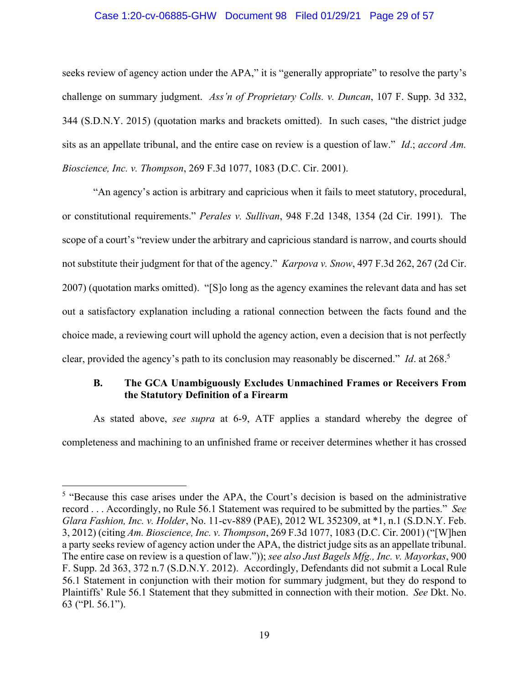#### Case 1:20-cv-06885-GHW Document 98 Filed 01/29/21 Page 29 of 57

seeks review of agency action under the APA," it is "generally appropriate" to resolve the party's challenge on summary judgment. *Ass'n of Proprietary Colls. v. Duncan*, 107 F. Supp. 3d 332, 344 (S.D.N.Y. 2015) (quotation marks and brackets omitted). In such cases, "the district judge sits as an appellate tribunal, and the entire case on review is a question of law." *Id*.; *accord Am. Bioscience, Inc. v. Thompson*, 269 F.3d 1077, 1083 (D.C. Cir. 2001).

"An agency's action is arbitrary and capricious when it fails to meet statutory, procedural, or constitutional requirements." *Perales v. Sullivan*, 948 F.2d 1348, 1354 (2d Cir. 1991). The scope of a court's "review under the arbitrary and capricious standard is narrow, and courts should not substitute their judgment for that of the agency." *Karpova v. Snow*, 497 F.3d 262, 267 (2d Cir. 2007) (quotation marks omitted). "[S]o long as the agency examines the relevant data and has set out a satisfactory explanation including a rational connection between the facts found and the choice made, a reviewing court will uphold the agency action, even a decision that is not perfectly clear, provided the agency's path to its conclusion may reasonably be discerned." *Id*. at 268.5

### **B. The GCA Unambiguously Excludes Unmachined Frames or Receivers From the Statutory Definition of a Firearm**

As stated above, *see supra* at 6-9, ATF applies a standard whereby the degree of completeness and machining to an unfinished frame or receiver determines whether it has crossed

<sup>&</sup>lt;sup>5</sup> "Because this case arises under the APA, the Court's decision is based on the administrative record . . . Accordingly, no Rule 56.1 Statement was required to be submitted by the parties." *See Glara Fashion, Inc. v. Holder*, No. 11-cv-889 (PAE), 2012 WL 352309, at \*1, n.1 (S.D.N.Y. Feb. 3, 2012) (citing *Am. Bioscience, Inc. v. Thompson*, 269 F.3d 1077, 1083 (D.C. Cir. 2001) ("[W]hen a party seeks review of agency action under the APA, the district judge sits as an appellate tribunal. The entire case on review is a question of law.")); *see also Just Bagels Mfg., Inc. v. Mayorkas*, 900 F. Supp. 2d 363, 372 n.7 (S.D.N.Y. 2012). Accordingly, Defendants did not submit a Local Rule 56.1 Statement in conjunction with their motion for summary judgment, but they do respond to Plaintiffs' Rule 56.1 Statement that they submitted in connection with their motion. *See* Dkt. No. 63 ("Pl. 56.1").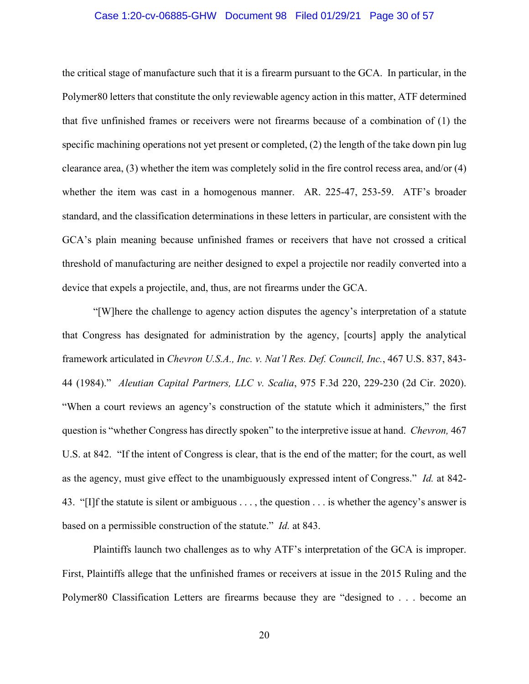#### Case 1:20-cv-06885-GHW Document 98 Filed 01/29/21 Page 30 of 57

the critical stage of manufacture such that it is a firearm pursuant to the GCA. In particular, in the Polymer80 letters that constitute the only reviewable agency action in this matter, ATF determined that five unfinished frames or receivers were not firearms because of a combination of (1) the specific machining operations not yet present or completed, (2) the length of the take down pin lug clearance area, (3) whether the item was completely solid in the fire control recess area, and/or (4) whether the item was cast in a homogenous manner. AR. 225-47, 253-59. ATF's broader standard, and the classification determinations in these letters in particular, are consistent with the GCA's plain meaning because unfinished frames or receivers that have not crossed a critical threshold of manufacturing are neither designed to expel a projectile nor readily converted into a device that expels a projectile, and, thus, are not firearms under the GCA.

"[W]here the challenge to agency action disputes the agency's interpretation of a statute that Congress has designated for administration by the agency, [courts] apply the analytical framework articulated in *Chevron U.S.A., Inc. v. Nat'l Res. Def. Council, Inc.*, 467 U.S. 837, 843- 44 (1984)." *Aleutian Capital Partners, LLC v. Scalia*, 975 F.3d 220, 229-230 (2d Cir. 2020). "When a court reviews an agency's construction of the statute which it administers," the first question is "whether Congress has directly spoken" to the interpretive issue at hand. *Chevron,* 467 U.S. at 842. "If the intent of Congress is clear, that is the end of the matter; for the court, as well as the agency, must give effect to the unambiguously expressed intent of Congress." *Id.* at 842- 43. "[I]f the statute is silent or ambiguous . . . , the question . . . is whether the agency's answer is based on a permissible construction of the statute." *Id.* at 843.

Plaintiffs launch two challenges as to why ATF's interpretation of the GCA is improper. First, Plaintiffs allege that the unfinished frames or receivers at issue in the 2015 Ruling and the Polymer80 Classification Letters are firearms because they are "designed to . . . become an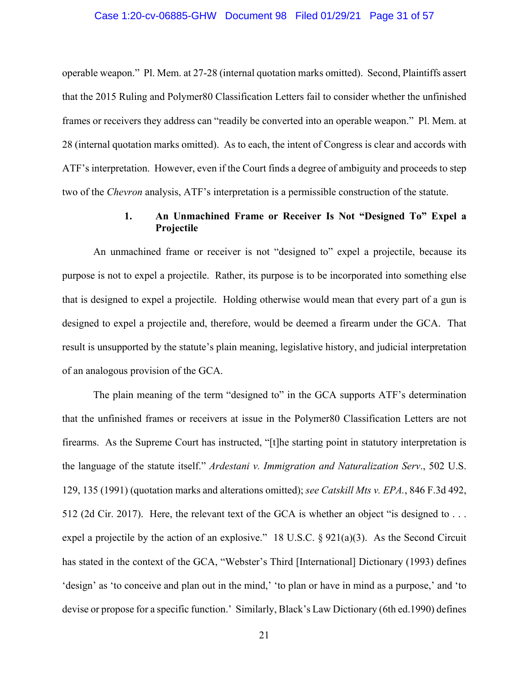#### Case 1:20-cv-06885-GHW Document 98 Filed 01/29/21 Page 31 of 57

operable weapon." Pl. Mem. at 27-28 (internal quotation marks omitted). Second, Plaintiffs assert that the 2015 Ruling and Polymer80 Classification Letters fail to consider whether the unfinished frames or receivers they address can "readily be converted into an operable weapon." Pl. Mem. at 28 (internal quotation marks omitted). As to each, the intent of Congress is clear and accords with ATF's interpretation. However, even if the Court finds a degree of ambiguity and proceeds to step two of the *Chevron* analysis, ATF's interpretation is a permissible construction of the statute.

## **1. An Unmachined Frame or Receiver Is Not "Designed To" Expel a Projectile**

An unmachined frame or receiver is not "designed to" expel a projectile, because its purpose is not to expel a projectile. Rather, its purpose is to be incorporated into something else that is designed to expel a projectile. Holding otherwise would mean that every part of a gun is designed to expel a projectile and, therefore, would be deemed a firearm under the GCA. That result is unsupported by the statute's plain meaning, legislative history, and judicial interpretation of an analogous provision of the GCA.

The plain meaning of the term "designed to" in the GCA supports ATF's determination that the unfinished frames or receivers at issue in the Polymer80 Classification Letters are not firearms. As the Supreme Court has instructed, "[t]he starting point in statutory interpretation is the language of the statute itself." *Ardestani v. Immigration and Naturalization Serv*., 502 U.S. 129, 135 (1991) (quotation marks and alterations omitted); *see Catskill Mts v. EPA.*, 846 F.3d 492, 512 (2d Cir. 2017). Here, the relevant text of the GCA is whether an object "is designed to . . . expel a projectile by the action of an explosive." 18 U.S.C. § 921(a)(3). As the Second Circuit has stated in the context of the GCA, "Webster's Third [International] Dictionary (1993) defines 'design' as 'to conceive and plan out in the mind,' 'to plan or have in mind as a purpose,' and 'to devise or propose for a specific function.' Similarly, Black's Law Dictionary (6th ed.1990) defines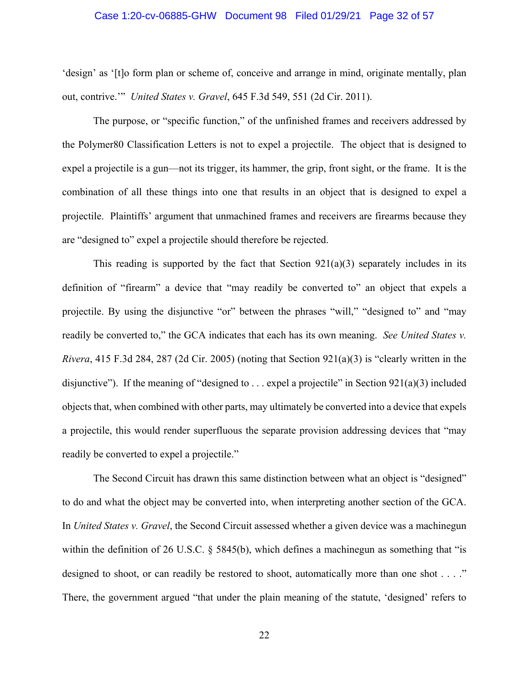#### Case 1:20-cv-06885-GHW Document 98 Filed 01/29/21 Page 32 of 57

'design' as '[t]o form plan or scheme of, conceive and arrange in mind, originate mentally, plan out, contrive.'" *United States v. Gravel*, 645 F.3d 549, 551 (2d Cir. 2011).

The purpose, or "specific function," of the unfinished frames and receivers addressed by the Polymer80 Classification Letters is not to expel a projectile. The object that is designed to expel a projectile is a gun—not its trigger, its hammer, the grip, front sight, or the frame. It is the combination of all these things into one that results in an object that is designed to expel a projectile. Plaintiffs' argument that unmachined frames and receivers are firearms because they are "designed to" expel a projectile should therefore be rejected.

This reading is supported by the fact that Section  $921(a)(3)$  separately includes in its definition of "firearm" a device that "may readily be converted to" an object that expels a projectile. By using the disjunctive "or" between the phrases "will," "designed to" and "may readily be converted to," the GCA indicates that each has its own meaning. *See United States v. Rivera*, 415 F.3d 284, 287 (2d Cir. 2005) (noting that Section 921(a)(3) is "clearly written in the disjunctive"). If the meaning of "designed to ... expel a projectile" in Section  $921(a)(3)$  included objects that, when combined with other parts, may ultimately be converted into a device that expels a projectile, this would render superfluous the separate provision addressing devices that "may readily be converted to expel a projectile."

 The Second Circuit has drawn this same distinction between what an object is "designed" to do and what the object may be converted into, when interpreting another section of the GCA. In *United States v. Gravel*, the Second Circuit assessed whether a given device was a machinegun within the definition of 26 U.S.C. § 5845(b), which defines a machinegun as something that "is designed to shoot, or can readily be restored to shoot, automatically more than one shot . . . ." There, the government argued "that under the plain meaning of the statute, 'designed' refers to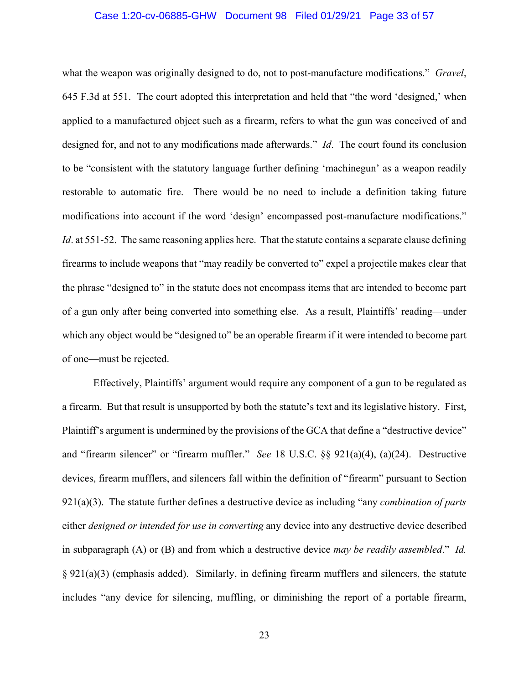#### Case 1:20-cv-06885-GHW Document 98 Filed 01/29/21 Page 33 of 57

what the weapon was originally designed to do, not to post-manufacture modifications." *Gravel*, 645 F.3d at 551. The court adopted this interpretation and held that "the word 'designed,' when applied to a manufactured object such as a firearm, refers to what the gun was conceived of and designed for, and not to any modifications made afterwards." *Id*. The court found its conclusion to be "consistent with the statutory language further defining 'machinegun' as a weapon readily restorable to automatic fire. There would be no need to include a definition taking future modifications into account if the word 'design' encompassed post-manufacture modifications." *Id*. at 551-52. The same reasoning applies here. That the statute contains a separate clause defining firearms to include weapons that "may readily be converted to" expel a projectile makes clear that the phrase "designed to" in the statute does not encompass items that are intended to become part of a gun only after being converted into something else. As a result, Plaintiffs' reading—under which any object would be "designed to" be an operable firearm if it were intended to become part of one—must be rejected.

Effectively, Plaintiffs' argument would require any component of a gun to be regulated as a firearm. But that result is unsupported by both the statute's text and its legislative history. First, Plaintiff's argument is undermined by the provisions of the GCA that define a "destructive device" and "firearm silencer" or "firearm muffler." *See* 18 U.S.C. §§ 921(a)(4), (a)(24). Destructive devices, firearm mufflers, and silencers fall within the definition of "firearm" pursuant to Section 921(a)(3). The statute further defines a destructive device as including "any *combination of parts* either *designed or intended for use in converting* any device into any destructive device described in subparagraph (A) or (B) and from which a destructive device *may be readily assembled*." *Id.*  $\S 921(a)(3)$  (emphasis added). Similarly, in defining firearm mufflers and silencers, the statute includes "any device for silencing, muffling, or diminishing the report of a portable firearm,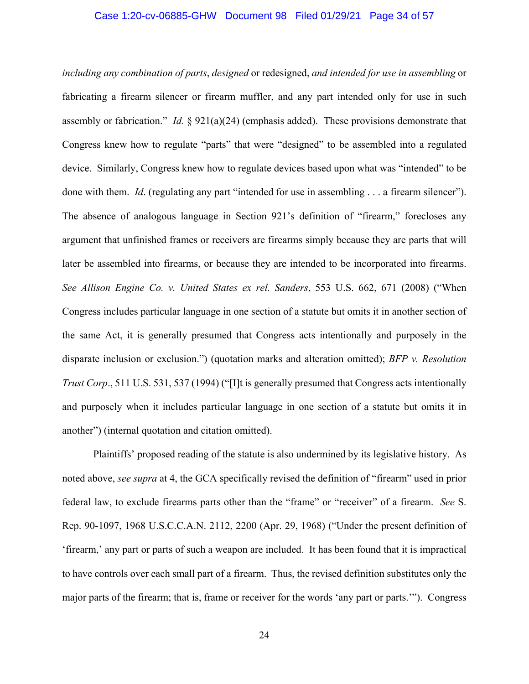#### Case 1:20-cv-06885-GHW Document 98 Filed 01/29/21 Page 34 of 57

*including any combination of parts*, *designed* or redesigned, *and intended for use in assembling* or fabricating a firearm silencer or firearm muffler, and any part intended only for use in such assembly or fabrication." *Id.*  $\S 921(a)(24)$  (emphasis added). These provisions demonstrate that Congress knew how to regulate "parts" that were "designed" to be assembled into a regulated device. Similarly, Congress knew how to regulate devices based upon what was "intended" to be done with them. *Id*. (regulating any part "intended for use in assembling . . . a firearm silencer"). The absence of analogous language in Section 921's definition of "firearm," forecloses any argument that unfinished frames or receivers are firearms simply because they are parts that will later be assembled into firearms, or because they are intended to be incorporated into firearms. *See Allison Engine Co. v. United States ex rel. Sanders*, 553 U.S. 662, 671 (2008) ("When Congress includes particular language in one section of a statute but omits it in another section of the same Act, it is generally presumed that Congress acts intentionally and purposely in the disparate inclusion or exclusion.") (quotation marks and alteration omitted); *BFP v. Resolution Trust Corp*., 511 U.S. 531, 537 (1994) ("[I]t is generally presumed that Congress acts intentionally and purposely when it includes particular language in one section of a statute but omits it in another") (internal quotation and citation omitted).

Plaintiffs' proposed reading of the statute is also undermined by its legislative history. As noted above, *see supra* at 4, the GCA specifically revised the definition of "firearm" used in prior federal law, to exclude firearms parts other than the "frame" or "receiver" of a firearm. *See* S. Rep. 90-1097, 1968 U.S.C.C.A.N. 2112, 2200 (Apr. 29, 1968) ("Under the present definition of 'firearm,' any part or parts of such a weapon are included. It has been found that it is impractical to have controls over each small part of a firearm. Thus, the revised definition substitutes only the major parts of the firearm; that is, frame or receiver for the words 'any part or parts.'"). Congress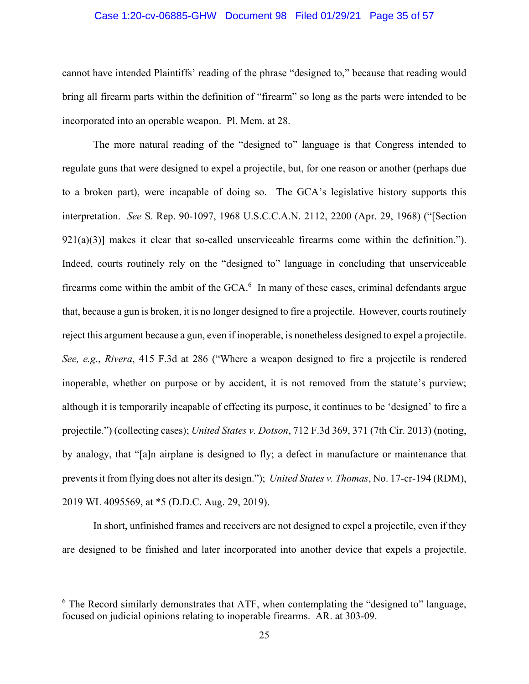#### Case 1:20-cv-06885-GHW Document 98 Filed 01/29/21 Page 35 of 57

cannot have intended Plaintiffs' reading of the phrase "designed to," because that reading would bring all firearm parts within the definition of "firearm" so long as the parts were intended to be incorporated into an operable weapon. Pl. Mem. at 28.

 The more natural reading of the "designed to" language is that Congress intended to regulate guns that were designed to expel a projectile, but, for one reason or another (perhaps due to a broken part), were incapable of doing so. The GCA's legislative history supports this interpretation. *See* S. Rep. 90-1097, 1968 U.S.C.C.A.N. 2112, 2200 (Apr. 29, 1968) ("[Section  $921(a)(3)$ ] makes it clear that so-called unserviceable firearms come within the definition."). Indeed, courts routinely rely on the "designed to" language in concluding that unserviceable firearms come within the ambit of the  $GCA$ <sup>6</sup>. In many of these cases, criminal defendants argue that, because a gun is broken, it is no longer designed to fire a projectile. However, courts routinely reject this argument because a gun, even if inoperable, is nonetheless designed to expel a projectile. *See, e.g.*, *Rivera*, 415 F.3d at 286 ("Where a weapon designed to fire a projectile is rendered inoperable, whether on purpose or by accident, it is not removed from the statute's purview; although it is temporarily incapable of effecting its purpose, it continues to be 'designed' to fire a projectile.") (collecting cases); *United States v. Dotson*, 712 F.3d 369, 371 (7th Cir. 2013) (noting, by analogy, that "[a]n airplane is designed to fly; a defect in manufacture or maintenance that prevents it from flying does not alter its design."); *United States v. Thomas*, No. 17-cr-194 (RDM), 2019 WL 4095569, at \*5 (D.D.C. Aug. 29, 2019).

 In short, unfinished frames and receivers are not designed to expel a projectile, even if they are designed to be finished and later incorporated into another device that expels a projectile.

 $6$  The Record similarly demonstrates that ATF, when contemplating the "designed to" language, focused on judicial opinions relating to inoperable firearms. AR. at 303-09.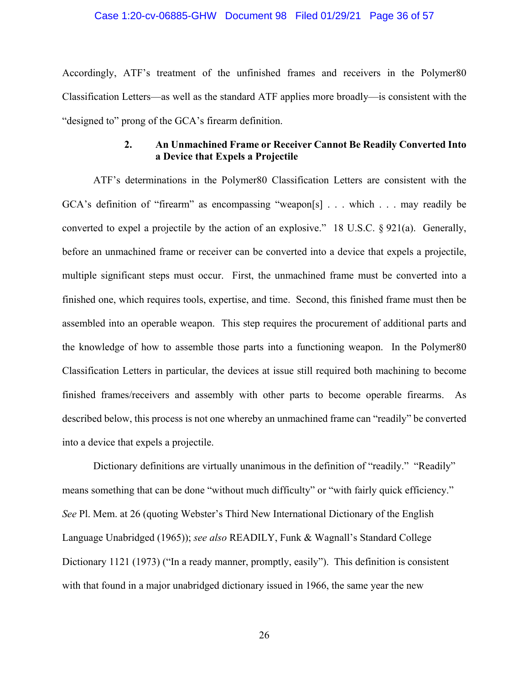#### Case 1:20-cv-06885-GHW Document 98 Filed 01/29/21 Page 36 of 57

Accordingly, ATF's treatment of the unfinished frames and receivers in the Polymer80 Classification Letters—as well as the standard ATF applies more broadly—is consistent with the "designed to" prong of the GCA's firearm definition.

#### **2. An Unmachined Frame or Receiver Cannot Be Readily Converted Into a Device that Expels a Projectile**

ATF's determinations in the Polymer80 Classification Letters are consistent with the GCA's definition of "firearm" as encompassing "weapon[s] . . . which . . . may readily be converted to expel a projectile by the action of an explosive." 18 U.S.C. § 921(a). Generally, before an unmachined frame or receiver can be converted into a device that expels a projectile, multiple significant steps must occur. First, the unmachined frame must be converted into a finished one, which requires tools, expertise, and time. Second, this finished frame must then be assembled into an operable weapon. This step requires the procurement of additional parts and the knowledge of how to assemble those parts into a functioning weapon. In the Polymer80 Classification Letters in particular, the devices at issue still required both machining to become finished frames/receivers and assembly with other parts to become operable firearms. As described below, this process is not one whereby an unmachined frame can "readily" be converted into a device that expels a projectile.

Dictionary definitions are virtually unanimous in the definition of "readily." "Readily" means something that can be done "without much difficulty" or "with fairly quick efficiency." *See* Pl. Mem. at 26 (quoting Webster's Third New International Dictionary of the English Language Unabridged (1965)); *see also* READILY, Funk & Wagnall's Standard College Dictionary 1121 (1973) ("In a ready manner, promptly, easily"). This definition is consistent with that found in a major unabridged dictionary issued in 1966, the same year the new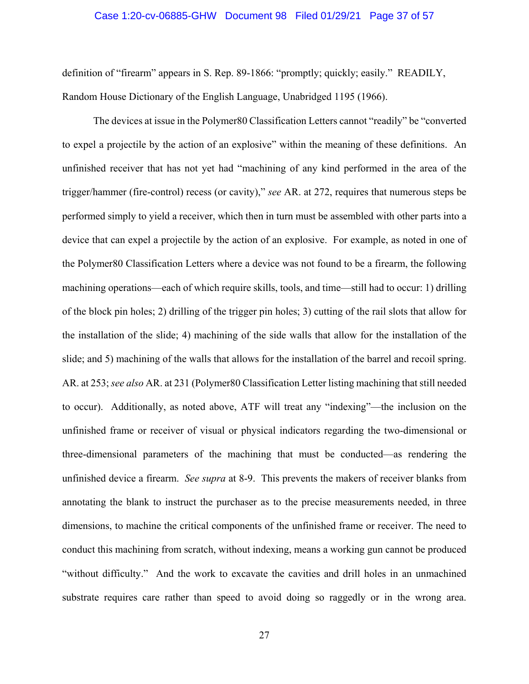#### Case 1:20-cv-06885-GHW Document 98 Filed 01/29/21 Page 37 of 57

definition of "firearm" appears in S. Rep. 89-1866: "promptly; quickly; easily." READILY, Random House Dictionary of the English Language, Unabridged 1195 (1966).

The devices at issue in the Polymer80 Classification Letters cannot "readily" be "converted to expel a projectile by the action of an explosive" within the meaning of these definitions. An unfinished receiver that has not yet had "machining of any kind performed in the area of the trigger/hammer (fire-control) recess (or cavity)," *see* AR. at 272, requires that numerous steps be performed simply to yield a receiver, which then in turn must be assembled with other parts into a device that can expel a projectile by the action of an explosive. For example, as noted in one of the Polymer80 Classification Letters where a device was not found to be a firearm, the following machining operations—each of which require skills, tools, and time—still had to occur: 1) drilling of the block pin holes; 2) drilling of the trigger pin holes; 3) cutting of the rail slots that allow for the installation of the slide; 4) machining of the side walls that allow for the installation of the slide; and 5) machining of the walls that allows for the installation of the barrel and recoil spring. AR. at 253; *see also* AR. at 231 (Polymer80 Classification Letter listing machining that still needed to occur). Additionally, as noted above, ATF will treat any "indexing"—the inclusion on the unfinished frame or receiver of visual or physical indicators regarding the two-dimensional or three-dimensional parameters of the machining that must be conducted—as rendering the unfinished device a firearm. *See supra* at 8-9. This prevents the makers of receiver blanks from annotating the blank to instruct the purchaser as to the precise measurements needed, in three dimensions, to machine the critical components of the unfinished frame or receiver. The need to conduct this machining from scratch, without indexing, means a working gun cannot be produced "without difficulty." And the work to excavate the cavities and drill holes in an unmachined substrate requires care rather than speed to avoid doing so raggedly or in the wrong area.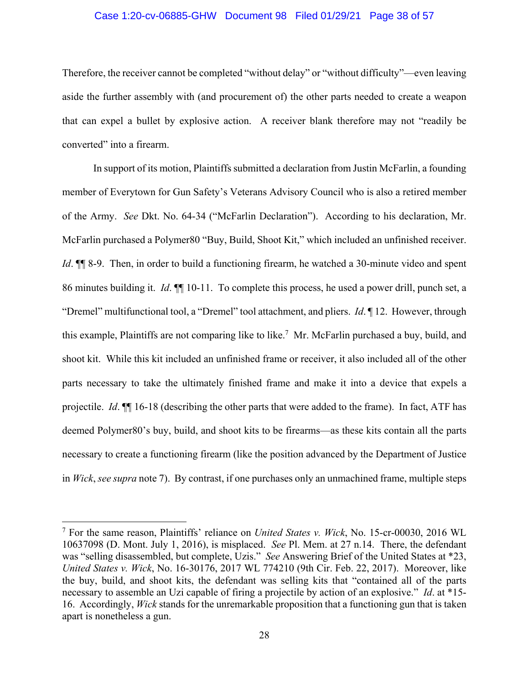#### Case 1:20-cv-06885-GHW Document 98 Filed 01/29/21 Page 38 of 57

Therefore, the receiver cannot be completed "without delay" or "without difficulty"—even leaving aside the further assembly with (and procurement of) the other parts needed to create a weapon that can expel a bullet by explosive action. A receiver blank therefore may not "readily be converted" into a firearm.

In support of its motion, Plaintiffs submitted a declaration from Justin McFarlin, a founding member of Everytown for Gun Safety's Veterans Advisory Council who is also a retired member of the Army. *See* Dkt. No. 64-34 ("McFarlin Declaration"). According to his declaration, Mr. McFarlin purchased a Polymer80 "Buy, Build, Shoot Kit," which included an unfinished receiver. *Id*. ¶ 8-9. Then, in order to build a functioning firearm, he watched a 30-minute video and spent 86 minutes building it. *Id*. ¶¶ 10-11. To complete this process, he used a power drill, punch set, a "Dremel" multifunctional tool, a "Dremel" tool attachment, and pliers. *Id*. ¶ 12. However, through this example, Plaintiffs are not comparing like to like.<sup>7</sup> Mr. McFarlin purchased a buy, build, and shoot kit. While this kit included an unfinished frame or receiver, it also included all of the other parts necessary to take the ultimately finished frame and make it into a device that expels a projectile. *Id*. ¶¶ 16-18 (describing the other parts that were added to the frame). In fact, ATF has deemed Polymer80's buy, build, and shoot kits to be firearms—as these kits contain all the parts necessary to create a functioning firearm (like the position advanced by the Department of Justice in *Wick*, *see supra* note 7). By contrast, if one purchases only an unmachined frame, multiple steps

<sup>7</sup> For the same reason, Plaintiffs' reliance on *United States v. Wick*, No. 15-cr-00030, 2016 WL 10637098 (D. Mont. July 1, 2016), is misplaced. *See* Pl. Mem. at 27 n.14. There, the defendant was "selling disassembled, but complete, Uzis." *See* Answering Brief of the United States at \*23, *United States v. Wick*, No. 16-30176, 2017 WL 774210 (9th Cir. Feb. 22, 2017). Moreover, like the buy, build, and shoot kits, the defendant was selling kits that "contained all of the parts necessary to assemble an Uzi capable of firing a projectile by action of an explosive." *Id*. at \*15- 16. Accordingly, *Wick* stands for the unremarkable proposition that a functioning gun that is taken apart is nonetheless a gun.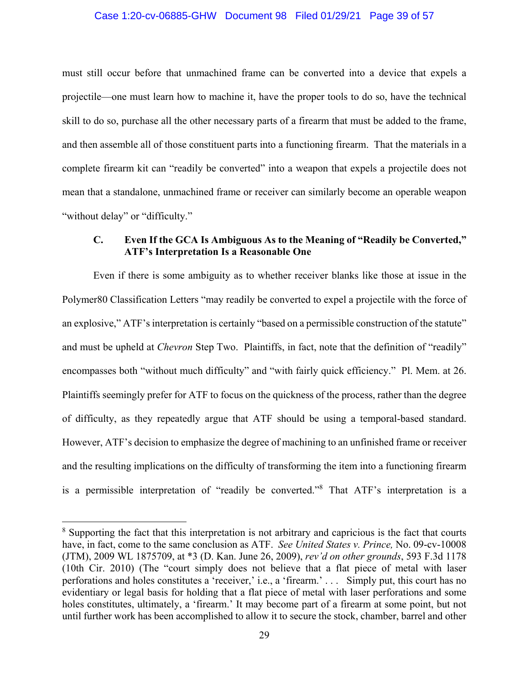#### Case 1:20-cv-06885-GHW Document 98 Filed 01/29/21 Page 39 of 57

must still occur before that unmachined frame can be converted into a device that expels a projectile—one must learn how to machine it, have the proper tools to do so, have the technical skill to do so, purchase all the other necessary parts of a firearm that must be added to the frame, and then assemble all of those constituent parts into a functioning firearm. That the materials in a complete firearm kit can "readily be converted" into a weapon that expels a projectile does not mean that a standalone, unmachined frame or receiver can similarly become an operable weapon "without delay" or "difficulty."

#### **C. Even If the GCA Is Ambiguous As to the Meaning of "Readily be Converted," ATF's Interpretation Is a Reasonable One**

Even if there is some ambiguity as to whether receiver blanks like those at issue in the Polymer80 Classification Letters "may readily be converted to expel a projectile with the force of an explosive," ATF's interpretation is certainly "based on a permissible construction of the statute" and must be upheld at *Chevron* Step Two. Plaintiffs, in fact, note that the definition of "readily" encompasses both "without much difficulty" and "with fairly quick efficiency." Pl. Mem. at 26. Plaintiffs seemingly prefer for ATF to focus on the quickness of the process, rather than the degree of difficulty, as they repeatedly argue that ATF should be using a temporal-based standard. However, ATF's decision to emphasize the degree of machining to an unfinished frame or receiver and the resulting implications on the difficulty of transforming the item into a functioning firearm is a permissible interpretation of "readily be converted."<sup>8</sup> That ATF's interpretation is a

<sup>&</sup>lt;sup>8</sup> Supporting the fact that this interpretation is not arbitrary and capricious is the fact that courts have, in fact, come to the same conclusion as ATF. *See United States v. Prince,* No. 09-cv-10008 (JTM), 2009 WL 1875709, at \*3 (D. Kan. June 26, 2009), *rev'd on other grounds*, 593 F.3d 1178 (10th Cir. 2010) (The "court simply does not believe that a flat piece of metal with laser perforations and holes constitutes a 'receiver,' i.e., a 'firearm.' . . . Simply put, this court has no evidentiary or legal basis for holding that a flat piece of metal with laser perforations and some holes constitutes, ultimately, a 'firearm.' It may become part of a firearm at some point, but not until further work has been accomplished to allow it to secure the stock, chamber, barrel and other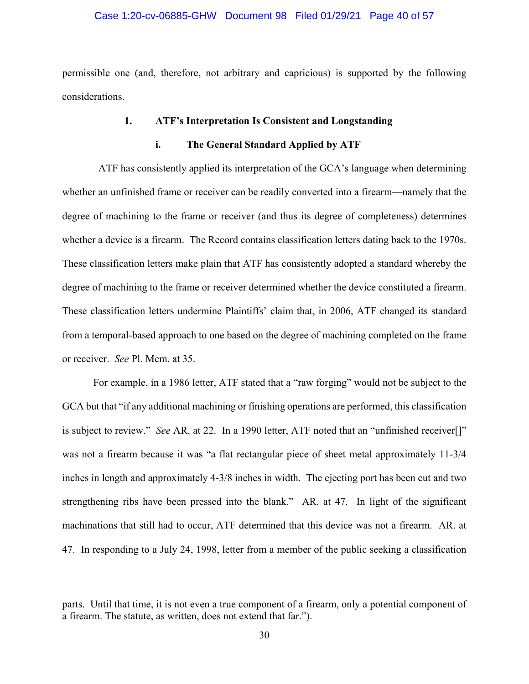#### Case 1:20-cv-06885-GHW Document 98 Filed 01/29/21 Page 40 of 57

permissible one (and, therefore, not arbitrary and capricious) is supported by the following considerations.

#### **1. ATF's Interpretation Is Consistent and Longstanding**

#### **i. The General Standard Applied by ATF**

 ATF has consistently applied its interpretation of the GCA's language when determining whether an unfinished frame or receiver can be readily converted into a firearm—namely that the degree of machining to the frame or receiver (and thus its degree of completeness) determines whether a device is a firearm. The Record contains classification letters dating back to the 1970s. These classification letters make plain that ATF has consistently adopted a standard whereby the degree of machining to the frame or receiver determined whether the device constituted a firearm. These classification letters undermine Plaintiffs' claim that, in 2006, ATF changed its standard from a temporal-based approach to one based on the degree of machining completed on the frame or receiver. *See* Pl. Mem. at 35.

For example, in a 1986 letter, ATF stated that a "raw forging" would not be subject to the GCA but that "if any additional machining or finishing operations are performed, this classification is subject to review." *See* AR. at 22. In a 1990 letter, ATF noted that an "unfinished receiver[]" was not a firearm because it was "a flat rectangular piece of sheet metal approximately 11-3/4 inches in length and approximately 4-3/8 inches in width. The ejecting port has been cut and two strengthening ribs have been pressed into the blank." AR. at 47. In light of the significant machinations that still had to occur, ATF determined that this device was not a firearm. AR. at 47. In responding to a July 24, 1998, letter from a member of the public seeking a classification

parts. Until that time, it is not even a true component of a firearm, only a potential component of a firearm. The statute, as written, does not extend that far.").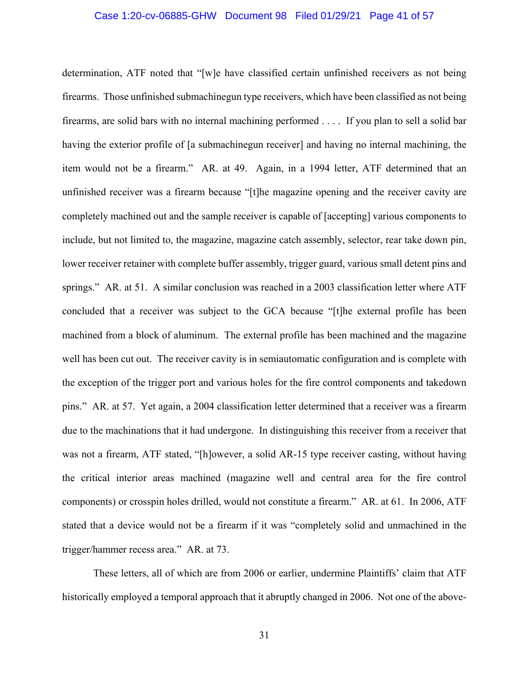#### Case 1:20-cv-06885-GHW Document 98 Filed 01/29/21 Page 41 of 57

determination, ATF noted that "[w]e have classified certain unfinished receivers as not being firearms. Those unfinished submachinegun type receivers, which have been classified as not being firearms, are solid bars with no internal machining performed . . . . If you plan to sell a solid bar having the exterior profile of [a submachinegun receiver] and having no internal machining, the item would not be a firearm." AR. at 49. Again, in a 1994 letter, ATF determined that an unfinished receiver was a firearm because "[t]he magazine opening and the receiver cavity are completely machined out and the sample receiver is capable of [accepting] various components to include, but not limited to, the magazine, magazine catch assembly, selector, rear take down pin, lower receiver retainer with complete buffer assembly, trigger guard, various small detent pins and springs." AR. at 51. A similar conclusion was reached in a 2003 classification letter where ATF concluded that a receiver was subject to the GCA because "[t]he external profile has been machined from a block of aluminum. The external profile has been machined and the magazine well has been cut out. The receiver cavity is in semiautomatic configuration and is complete with the exception of the trigger port and various holes for the fire control components and takedown pins." AR. at 57. Yet again, a 2004 classification letter determined that a receiver was a firearm due to the machinations that it had undergone. In distinguishing this receiver from a receiver that was not a firearm, ATF stated, "[h]owever, a solid AR-15 type receiver casting, without having the critical interior areas machined (magazine well and central area for the fire control components) or crosspin holes drilled, would not constitute a firearm." AR. at 61. In 2006, ATF stated that a device would not be a firearm if it was "completely solid and unmachined in the trigger/hammer recess area." AR. at 73.

These letters, all of which are from 2006 or earlier, undermine Plaintiffs' claim that ATF historically employed a temporal approach that it abruptly changed in 2006. Not one of the above-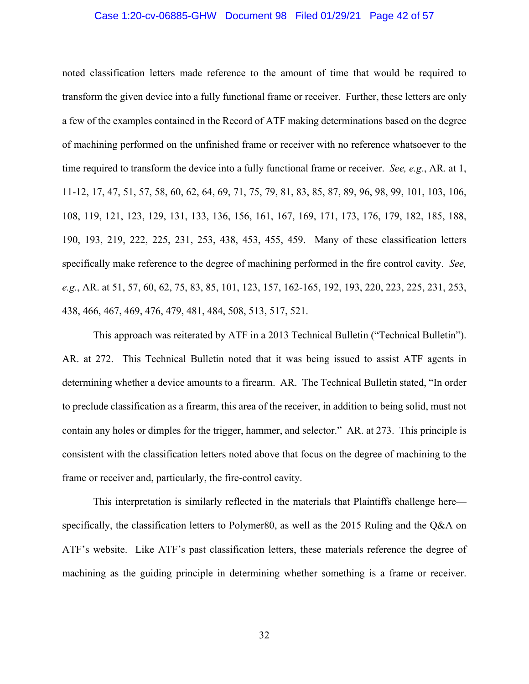#### Case 1:20-cv-06885-GHW Document 98 Filed 01/29/21 Page 42 of 57

noted classification letters made reference to the amount of time that would be required to transform the given device into a fully functional frame or receiver. Further, these letters are only a few of the examples contained in the Record of ATF making determinations based on the degree of machining performed on the unfinished frame or receiver with no reference whatsoever to the time required to transform the device into a fully functional frame or receiver. *See, e.g.*, AR. at 1, 11-12, 17, 47, 51, 57, 58, 60, 62, 64, 69, 71, 75, 79, 81, 83, 85, 87, 89, 96, 98, 99, 101, 103, 106, 108, 119, 121, 123, 129, 131, 133, 136, 156, 161, 167, 169, 171, 173, 176, 179, 182, 185, 188, 190, 193, 219, 222, 225, 231, 253, 438, 453, 455, 459. Many of these classification letters specifically make reference to the degree of machining performed in the fire control cavity. *See, e.g.*, AR. at 51, 57, 60, 62, 75, 83, 85, 101, 123, 157, 162-165, 192, 193, 220, 223, 225, 231, 253, 438, 466, 467, 469, 476, 479, 481, 484, 508, 513, 517, 521.

This approach was reiterated by ATF in a 2013 Technical Bulletin ("Technical Bulletin"). AR. at 272. This Technical Bulletin noted that it was being issued to assist ATF agents in determining whether a device amounts to a firearm. AR. The Technical Bulletin stated, "In order to preclude classification as a firearm, this area of the receiver, in addition to being solid, must not contain any holes or dimples for the trigger, hammer, and selector." AR. at 273. This principle is consistent with the classification letters noted above that focus on the degree of machining to the frame or receiver and, particularly, the fire-control cavity.

This interpretation is similarly reflected in the materials that Plaintiffs challenge here specifically, the classification letters to Polymer80, as well as the 2015 Ruling and the Q&A on ATF's website. Like ATF's past classification letters, these materials reference the degree of machining as the guiding principle in determining whether something is a frame or receiver.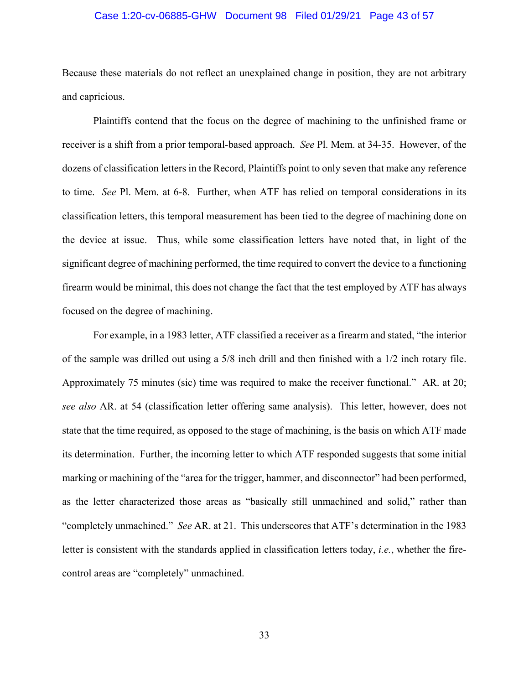#### Case 1:20-cv-06885-GHW Document 98 Filed 01/29/21 Page 43 of 57

Because these materials do not reflect an unexplained change in position, they are not arbitrary and capricious.

Plaintiffs contend that the focus on the degree of machining to the unfinished frame or receiver is a shift from a prior temporal-based approach. *See* Pl. Mem. at 34-35. However, of the dozens of classification letters in the Record, Plaintiffs point to only seven that make any reference to time. *See* Pl. Mem. at 6-8. Further, when ATF has relied on temporal considerations in its classification letters, this temporal measurement has been tied to the degree of machining done on the device at issue. Thus, while some classification letters have noted that, in light of the significant degree of machining performed, the time required to convert the device to a functioning firearm would be minimal, this does not change the fact that the test employed by ATF has always focused on the degree of machining.

For example, in a 1983 letter, ATF classified a receiver as a firearm and stated, "the interior of the sample was drilled out using a 5/8 inch drill and then finished with a 1/2 inch rotary file. Approximately 75 minutes (sic) time was required to make the receiver functional." AR. at 20; *see also* AR. at 54 (classification letter offering same analysis). This letter, however, does not state that the time required, as opposed to the stage of machining, is the basis on which ATF made its determination. Further, the incoming letter to which ATF responded suggests that some initial marking or machining of the "area for the trigger, hammer, and disconnector" had been performed, as the letter characterized those areas as "basically still unmachined and solid," rather than "completely unmachined." *See* AR. at 21. This underscores that ATF's determination in the 1983 letter is consistent with the standards applied in classification letters today, *i.e.*, whether the firecontrol areas are "completely" unmachined.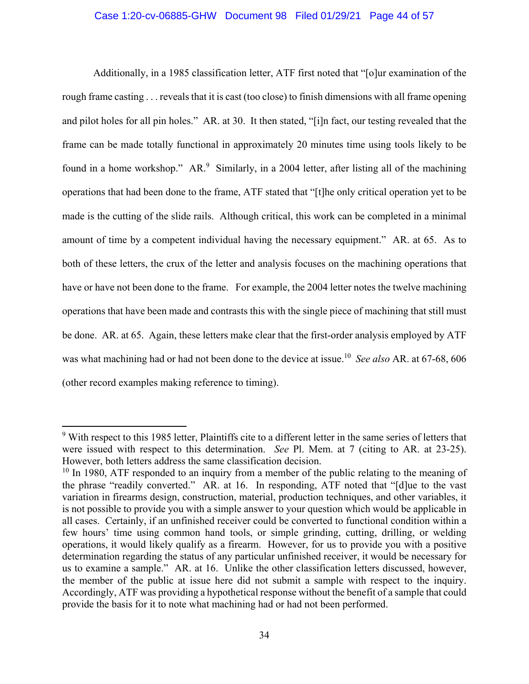#### Case 1:20-cv-06885-GHW Document 98 Filed 01/29/21 Page 44 of 57

Additionally, in a 1985 classification letter, ATF first noted that "[o]ur examination of the rough frame casting . . . reveals that it is cast (too close) to finish dimensions with all frame opening and pilot holes for all pin holes." AR. at 30. It then stated, "[i]n fact, our testing revealed that the frame can be made totally functional in approximately 20 minutes time using tools likely to be found in a home workshop." AR.<sup>9</sup> Similarly, in a 2004 letter, after listing all of the machining operations that had been done to the frame, ATF stated that "[t]he only critical operation yet to be made is the cutting of the slide rails. Although critical, this work can be completed in a minimal amount of time by a competent individual having the necessary equipment." AR. at 65. As to both of these letters, the crux of the letter and analysis focuses on the machining operations that have or have not been done to the frame. For example, the 2004 letter notes the twelve machining operations that have been made and contrasts this with the single piece of machining that still must be done. AR. at 65. Again, these letters make clear that the first-order analysis employed by ATF was what machining had or had not been done to the device at issue.10 *See also* AR. at 67-68, 606 (other record examples making reference to timing).

<sup>&</sup>lt;sup>9</sup> With respect to this 1985 letter, Plaintiffs cite to a different letter in the same series of letters that were issued with respect to this determination. *See* Pl. Mem. at 7 (citing to AR. at 23-25). However, both letters address the same classification decision.<br><sup>10</sup> In 1980, ATF responded to an inquiry from a member of the public relating to the meaning of

the phrase "readily converted." AR. at 16. In responding, ATF noted that "[d]ue to the vast variation in firearms design, construction, material, production techniques, and other variables, it is not possible to provide you with a simple answer to your question which would be applicable in all cases. Certainly, if an unfinished receiver could be converted to functional condition within a few hours' time using common hand tools, or simple grinding, cutting, drilling, or welding operations, it would likely qualify as a firearm. However, for us to provide you with a positive determination regarding the status of any particular unfinished receiver, it would be necessary for us to examine a sample." AR. at 16. Unlike the other classification letters discussed, however, the member of the public at issue here did not submit a sample with respect to the inquiry. Accordingly, ATF was providing a hypothetical response without the benefit of a sample that could provide the basis for it to note what machining had or had not been performed.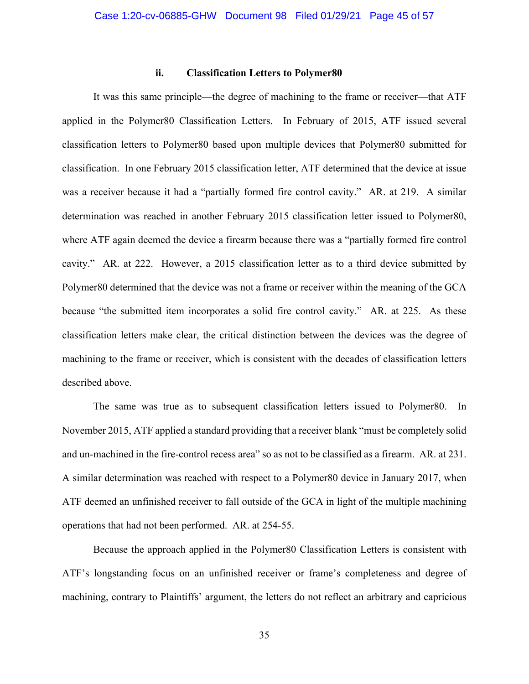#### **ii. Classification Letters to Polymer80**

It was this same principle—the degree of machining to the frame or receiver—that ATF applied in the Polymer80 Classification Letters. In February of 2015, ATF issued several classification letters to Polymer80 based upon multiple devices that Polymer80 submitted for classification. In one February 2015 classification letter, ATF determined that the device at issue was a receiver because it had a "partially formed fire control cavity." AR. at 219. A similar determination was reached in another February 2015 classification letter issued to Polymer80, where ATF again deemed the device a firearm because there was a "partially formed fire control cavity." AR. at 222. However, a 2015 classification letter as to a third device submitted by Polymer80 determined that the device was not a frame or receiver within the meaning of the GCA because "the submitted item incorporates a solid fire control cavity." AR. at 225. As these classification letters make clear, the critical distinction between the devices was the degree of machining to the frame or receiver, which is consistent with the decades of classification letters described above.

The same was true as to subsequent classification letters issued to Polymer80. In November 2015, ATF applied a standard providing that a receiver blank "must be completely solid and un-machined in the fire-control recess area" so as not to be classified as a firearm. AR. at 231. A similar determination was reached with respect to a Polymer80 device in January 2017, when ATF deemed an unfinished receiver to fall outside of the GCA in light of the multiple machining operations that had not been performed. AR. at 254-55.

Because the approach applied in the Polymer80 Classification Letters is consistent with ATF's longstanding focus on an unfinished receiver or frame's completeness and degree of machining, contrary to Plaintiffs' argument, the letters do not reflect an arbitrary and capricious

35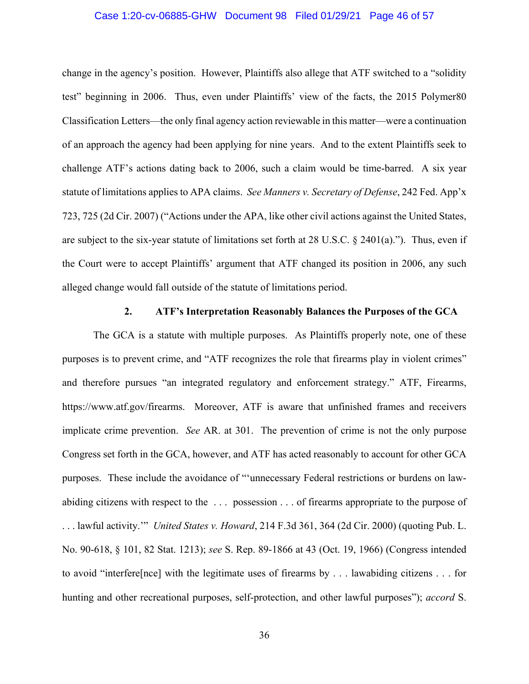#### Case 1:20-cv-06885-GHW Document 98 Filed 01/29/21 Page 46 of 57

change in the agency's position. However, Plaintiffs also allege that ATF switched to a "solidity test" beginning in 2006. Thus, even under Plaintiffs' view of the facts, the 2015 Polymer80 Classification Letters—the only final agency action reviewable in this matter—were a continuation of an approach the agency had been applying for nine years. And to the extent Plaintiffs seek to challenge ATF's actions dating back to 2006, such a claim would be time-barred. A six year statute of limitations applies to APA claims. *See Manners v. Secretary of Defense*, 242 Fed. App'x 723, 725 (2d Cir. 2007) ("Actions under the APA, like other civil actions against the United States, are subject to the six-year statute of limitations set forth at 28 U.S.C. § 2401(a)."). Thus, even if the Court were to accept Plaintiffs' argument that ATF changed its position in 2006, any such alleged change would fall outside of the statute of limitations period.

#### **2. ATF's Interpretation Reasonably Balances the Purposes of the GCA**

The GCA is a statute with multiple purposes. As Plaintiffs properly note, one of these purposes is to prevent crime, and "ATF recognizes the role that firearms play in violent crimes" and therefore pursues "an integrated regulatory and enforcement strategy." ATF, Firearms, https://www.atf.gov/firearms. Moreover, ATF is aware that unfinished frames and receivers implicate crime prevention. *See* AR. at 301. The prevention of crime is not the only purpose Congress set forth in the GCA, however, and ATF has acted reasonably to account for other GCA purposes. These include the avoidance of "'unnecessary Federal restrictions or burdens on lawabiding citizens with respect to the . . . possession . . . of firearms appropriate to the purpose of . . . lawful activity.'" *United States v. Howard*, 214 F.3d 361, 364 (2d Cir. 2000) (quoting Pub. L. No. 90-618, § 101, 82 Stat. 1213); *see* S. Rep. 89-1866 at 43 (Oct. 19, 1966) (Congress intended to avoid "interfere[nce] with the legitimate uses of firearms by . . . lawabiding citizens . . . for hunting and other recreational purposes, self-protection, and other lawful purposes"); *accord* S.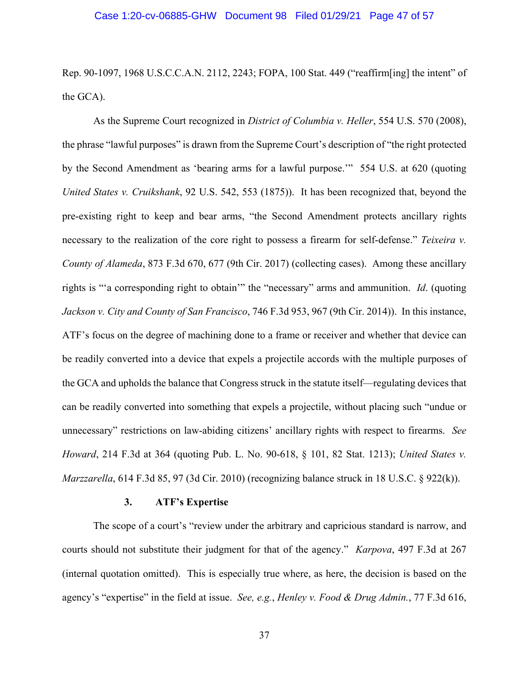Rep. 90-1097, 1968 U.S.C.C.A.N. 2112, 2243; FOPA, 100 Stat. 449 ("reaffirm[ing] the intent" of the GCA).

As the Supreme Court recognized in *District of Columbia v. Heller*, 554 U.S. 570 (2008), the phrase "lawful purposes" is drawn from the Supreme Court's description of "the right protected by the Second Amendment as 'bearing arms for a lawful purpose.'" 554 U.S. at 620 (quoting *United States v. Cruikshank*, 92 U.S. 542, 553 (1875)). It has been recognized that, beyond the pre-existing right to keep and bear arms, "the Second Amendment protects ancillary rights necessary to the realization of the core right to possess a firearm for self-defense." *Teixeira v. County of Alameda*, 873 F.3d 670, 677 (9th Cir. 2017) (collecting cases). Among these ancillary rights is "'a corresponding right to obtain'" the "necessary" arms and ammunition. *Id*. (quoting *Jackson v. City and County of San Francisco*, 746 F.3d 953, 967 (9th Cir. 2014)). In this instance, ATF's focus on the degree of machining done to a frame or receiver and whether that device can be readily converted into a device that expels a projectile accords with the multiple purposes of the GCA and upholds the balance that Congress struck in the statute itself—regulating devices that can be readily converted into something that expels a projectile, without placing such "undue or unnecessary" restrictions on law-abiding citizens' ancillary rights with respect to firearms. *See Howard*, 214 F.3d at 364 (quoting Pub. L. No. 90-618, § 101, 82 Stat. 1213); *United States v. Marzzarella*, 614 F.3d 85, 97 (3d Cir. 2010) (recognizing balance struck in 18 U.S.C. § 922(k)).

#### **3. ATF's Expertise**

The scope of a court's "review under the arbitrary and capricious standard is narrow, and courts should not substitute their judgment for that of the agency." *Karpova*, 497 F.3d at 267 (internal quotation omitted). This is especially true where, as here, the decision is based on the agency's "expertise" in the field at issue. *See, e.g.*, *Henley v. Food & Drug Admin.*, 77 F.3d 616,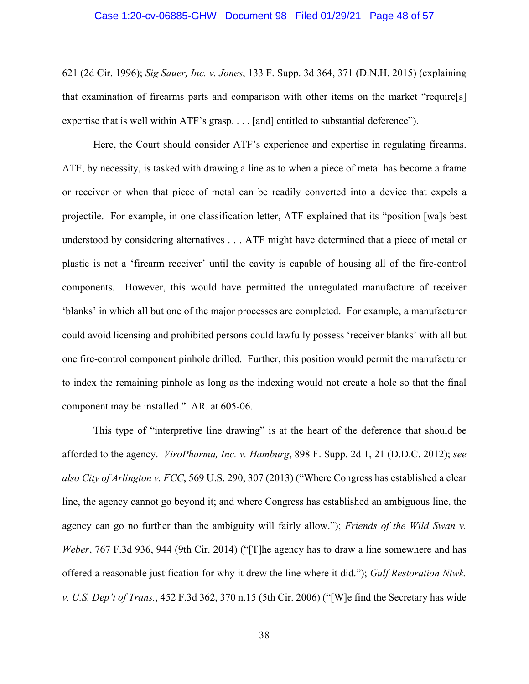#### Case 1:20-cv-06885-GHW Document 98 Filed 01/29/21 Page 48 of 57

621 (2d Cir. 1996); *Sig Sauer, Inc. v. Jones*, 133 F. Supp. 3d 364, 371 (D.N.H. 2015) (explaining that examination of firearms parts and comparison with other items on the market "require[s] expertise that is well within ATF's grasp. . . . [and] entitled to substantial deference").

Here, the Court should consider ATF's experience and expertise in regulating firearms. ATF, by necessity, is tasked with drawing a line as to when a piece of metal has become a frame or receiver or when that piece of metal can be readily converted into a device that expels a projectile. For example, in one classification letter, ATF explained that its "position [wa]s best understood by considering alternatives . . . ATF might have determined that a piece of metal or plastic is not a 'firearm receiver' until the cavity is capable of housing all of the fire-control components. However, this would have permitted the unregulated manufacture of receiver 'blanks' in which all but one of the major processes are completed. For example, a manufacturer could avoid licensing and prohibited persons could lawfully possess 'receiver blanks' with all but one fire-control component pinhole drilled. Further, this position would permit the manufacturer to index the remaining pinhole as long as the indexing would not create a hole so that the final component may be installed." AR. at 605-06.

This type of "interpretive line drawing" is at the heart of the deference that should be afforded to the agency. *ViroPharma, Inc. v. Hamburg*, 898 F. Supp. 2d 1, 21 (D.D.C. 2012); *see also City of Arlington v. FCC*, 569 U.S. 290, 307 (2013) ("Where Congress has established a clear line, the agency cannot go beyond it; and where Congress has established an ambiguous line, the agency can go no further than the ambiguity will fairly allow."); *Friends of the Wild Swan v. Weber*, 767 F.3d 936, 944 (9th Cir. 2014) ("[T]he agency has to draw a line somewhere and has offered a reasonable justification for why it drew the line where it did."); *Gulf Restoration Ntwk. v. U.S. Dep't of Trans.*, 452 F.3d 362, 370 n.15 (5th Cir. 2006) ("[W]e find the Secretary has wide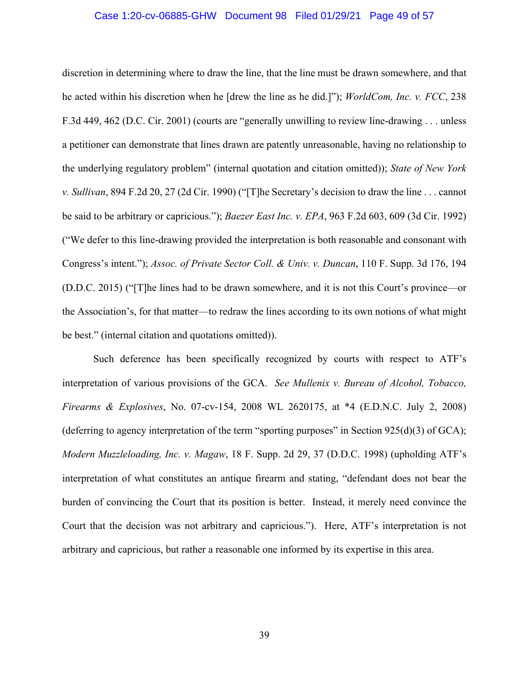#### Case 1:20-cv-06885-GHW Document 98 Filed 01/29/21 Page 49 of 57

discretion in determining where to draw the line, that the line must be drawn somewhere, and that he acted within his discretion when he [drew the line as he did.]"); *WorldCom, Inc. v. FCC*, 238 F.3d 449, 462 (D.C. Cir. 2001) (courts are "generally unwilling to review line-drawing . . . unless a petitioner can demonstrate that lines drawn are patently unreasonable, having no relationship to the underlying regulatory problem" (internal quotation and citation omitted)); *State of New York v. Sullivan*, 894 F.2d 20, 27 (2d Cir. 1990) ("[T]he Secretary's decision to draw the line . . . cannot be said to be arbitrary or capricious."); *Baezer East Inc. v. EPA*, 963 F.2d 603, 609 (3d Cir. 1992) ("We defer to this line-drawing provided the interpretation is both reasonable and consonant with Congress's intent."); *Assoc. of Private Sector Coll. & Univ. v. Duncan*, 110 F. Supp. 3d 176, 194 (D.D.C. 2015) ("[T]he lines had to be drawn somewhere, and it is not this Court's province—or the Association's, for that matter—to redraw the lines according to its own notions of what might be best." (internal citation and quotations omitted)).

Such deference has been specifically recognized by courts with respect to ATF's interpretation of various provisions of the GCA. *See Mullenix v. Bureau of Alcohol, Tobacco, Firearms & Explosives*, No. 07-cv-154, 2008 WL 2620175, at \*4 (E.D.N.C. July 2, 2008) (deferring to agency interpretation of the term "sporting purposes" in Section  $925(d)(3)$  of GCA); *Modern Muzzleloading, Inc. v. Magaw*, 18 F. Supp. 2d 29, 37 (D.D.C. 1998) (upholding ATF's interpretation of what constitutes an antique firearm and stating, "defendant does not bear the burden of convincing the Court that its position is better. Instead, it merely need convince the Court that the decision was not arbitrary and capricious."). Here, ATF's interpretation is not arbitrary and capricious, but rather a reasonable one informed by its expertise in this area.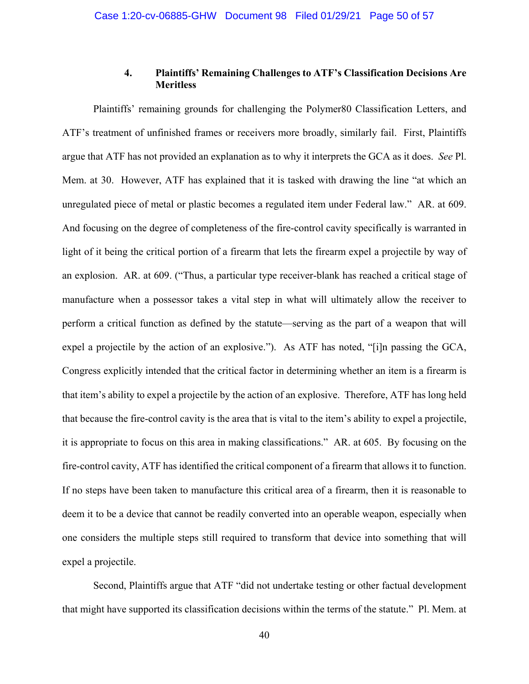## **4. Plaintiffs' Remaining Challenges to ATF's Classification Decisions Are Meritless**

 Plaintiffs' remaining grounds for challenging the Polymer80 Classification Letters, and ATF's treatment of unfinished frames or receivers more broadly, similarly fail. First, Plaintiffs argue that ATF has not provided an explanation as to why it interprets the GCA as it does. *See* Pl. Mem. at 30. However, ATF has explained that it is tasked with drawing the line "at which an unregulated piece of metal or plastic becomes a regulated item under Federal law." AR. at 609. And focusing on the degree of completeness of the fire-control cavity specifically is warranted in light of it being the critical portion of a firearm that lets the firearm expel a projectile by way of an explosion. AR. at 609. ("Thus, a particular type receiver-blank has reached a critical stage of manufacture when a possessor takes a vital step in what will ultimately allow the receiver to perform a critical function as defined by the statute—serving as the part of a weapon that will expel a projectile by the action of an explosive."). As ATF has noted, "[i]n passing the GCA, Congress explicitly intended that the critical factor in determining whether an item is a firearm is that item's ability to expel a projectile by the action of an explosive. Therefore, ATF has long held that because the fire-control cavity is the area that is vital to the item's ability to expel a projectile, it is appropriate to focus on this area in making classifications." AR. at 605. By focusing on the fire-control cavity, ATF has identified the critical component of a firearm that allows it to function. If no steps have been taken to manufacture this critical area of a firearm, then it is reasonable to deem it to be a device that cannot be readily converted into an operable weapon, especially when one considers the multiple steps still required to transform that device into something that will expel a projectile.

 Second, Plaintiffs argue that ATF "did not undertake testing or other factual development that might have supported its classification decisions within the terms of the statute." Pl. Mem. at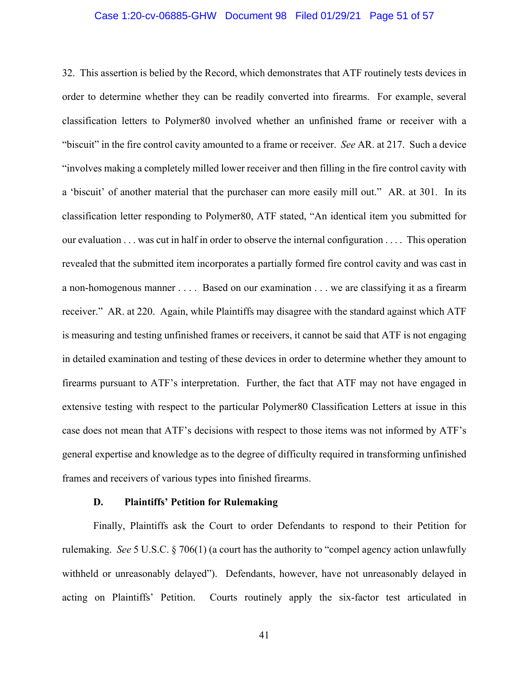#### Case 1:20-cv-06885-GHW Document 98 Filed 01/29/21 Page 51 of 57

32. This assertion is belied by the Record, which demonstrates that ATF routinely tests devices in order to determine whether they can be readily converted into firearms. For example, several classification letters to Polymer80 involved whether an unfinished frame or receiver with a "biscuit" in the fire control cavity amounted to a frame or receiver. *See* AR. at 217. Such a device "involves making a completely milled lower receiver and then filling in the fire control cavity with a 'biscuit' of another material that the purchaser can more easily mill out." AR. at 301. In its classification letter responding to Polymer80, ATF stated, "An identical item you submitted for our evaluation . . . was cut in half in order to observe the internal configuration . . . . This operation revealed that the submitted item incorporates a partially formed fire control cavity and was cast in a non-homogenous manner . . . . Based on our examination . . . we are classifying it as a firearm receiver." AR. at 220. Again, while Plaintiffs may disagree with the standard against which ATF is measuring and testing unfinished frames or receivers, it cannot be said that ATF is not engaging in detailed examination and testing of these devices in order to determine whether they amount to firearms pursuant to ATF's interpretation. Further, the fact that ATF may not have engaged in extensive testing with respect to the particular Polymer80 Classification Letters at issue in this case does not mean that ATF's decisions with respect to those items was not informed by ATF's general expertise and knowledge as to the degree of difficulty required in transforming unfinished frames and receivers of various types into finished firearms.

### **D. Plaintiffs' Petition for Rulemaking**

Finally, Plaintiffs ask the Court to order Defendants to respond to their Petition for rulemaking. *See* 5 U.S.C. § 706(1) (a court has the authority to "compel agency action unlawfully withheld or unreasonably delayed"). Defendants, however, have not unreasonably delayed in acting on Plaintiffs' Petition. Courts routinely apply the six-factor test articulated in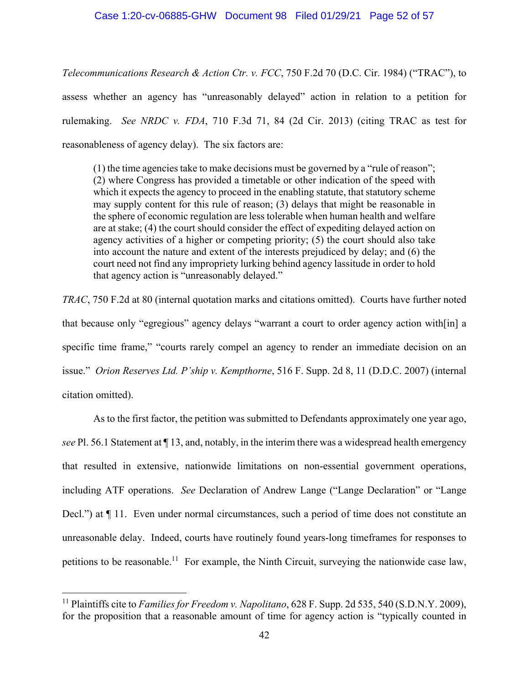*Telecommunications Research & Action Ctr. v. FCC*, 750 F.2d 70 (D.C. Cir. 1984) ("TRAC"), to assess whether an agency has "unreasonably delayed" action in relation to a petition for rulemaking. *See NRDC v. FDA*, 710 F.3d 71, 84 (2d Cir. 2013) (citing TRAC as test for reasonableness of agency delay). The six factors are:

(1) the time agencies take to make decisions must be governed by a "rule of reason"; (2) where Congress has provided a timetable or other indication of the speed with which it expects the agency to proceed in the enabling statute, that statutory scheme may supply content for this rule of reason; (3) delays that might be reasonable in the sphere of economic regulation are less tolerable when human health and welfare are at stake; (4) the court should consider the effect of expediting delayed action on agency activities of a higher or competing priority; (5) the court should also take into account the nature and extent of the interests prejudiced by delay; and (6) the court need not find any impropriety lurking behind agency lassitude in order to hold that agency action is "unreasonably delayed."

*TRAC*, 750 F.2d at 80 (internal quotation marks and citations omitted). Courts have further noted that because only "egregious" agency delays "warrant a court to order agency action with[in] a specific time frame," "courts rarely compel an agency to render an immediate decision on an issue." *Orion Reserves Ltd. P'ship v. Kempthorne*, 516 F. Supp. 2d 8, 11 (D.D.C. 2007) (internal citation omitted).

 As to the first factor, the petition was submitted to Defendants approximately one year ago, *see* Pl. 56.1 Statement at ¶ 13, and, notably, in the interim there was a widespread health emergency that resulted in extensive, nationwide limitations on non-essential government operations, including ATF operations. *See* Declaration of Andrew Lange ("Lange Declaration" or "Lange Decl.") at  $\P$  11. Even under normal circumstances, such a period of time does not constitute an unreasonable delay. Indeed, courts have routinely found years-long timeframes for responses to petitions to be reasonable.<sup>11</sup> For example, the Ninth Circuit, surveying the nationwide case law,

<sup>11</sup> Plaintiffs cite to *Families for Freedom v. Napolitano*, 628 F. Supp. 2d 535, 540 (S.D.N.Y. 2009), for the proposition that a reasonable amount of time for agency action is "typically counted in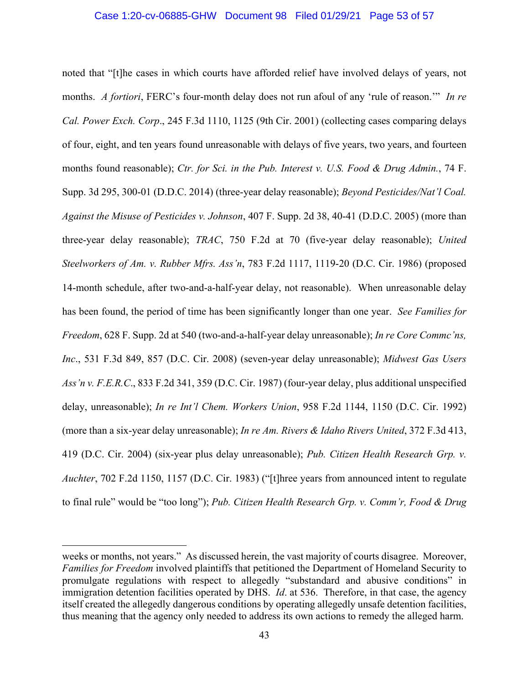#### Case 1:20-cv-06885-GHW Document 98 Filed 01/29/21 Page 53 of 57

noted that "[t]he cases in which courts have afforded relief have involved delays of years, not months. *A fortiori*, FERC's four-month delay does not run afoul of any 'rule of reason.'" *In re Cal. Power Exch. Corp*., 245 F.3d 1110, 1125 (9th Cir. 2001) (collecting cases comparing delays of four, eight, and ten years found unreasonable with delays of five years, two years, and fourteen months found reasonable); *Ctr. for Sci. in the Pub. Interest v. U.S. Food & Drug Admin.*, 74 F. Supp. 3d 295, 300-01 (D.D.C. 2014) (three-year delay reasonable); *Beyond Pesticides/Nat'l Coal. Against the Misuse of Pesticides v. Johnson*, 407 F. Supp. 2d 38, 40-41 (D.D.C. 2005) (more than three-year delay reasonable); *TRAC*, 750 F.2d at 70 (five-year delay reasonable); *United Steelworkers of Am. v. Rubber Mfrs. Ass'n*, 783 F.2d 1117, 1119-20 (D.C. Cir. 1986) (proposed 14-month schedule, after two-and-a-half-year delay, not reasonable). When unreasonable delay has been found, the period of time has been significantly longer than one year. *See Families for Freedom*, 628 F. Supp. 2d at 540 (two-and-a-half-year delay unreasonable); *In re Core Commc'ns, Inc*., 531 F.3d 849, 857 (D.C. Cir. 2008) (seven-year delay unreasonable); *Midwest Gas Users Ass'n v. F.E.R.C*., 833 F.2d 341, 359 (D.C. Cir. 1987) (four-year delay, plus additional unspecified delay, unreasonable); *In re Int'l Chem. Workers Union*, 958 F.2d 1144, 1150 (D.C. Cir. 1992) (more than a six-year delay unreasonable); *In re Am. Rivers & Idaho Rivers United*, 372 F.3d 413, 419 (D.C. Cir. 2004) (six-year plus delay unreasonable); *Pub. Citizen Health Research Grp. v. Auchter*, 702 F.2d 1150, 1157 (D.C. Cir. 1983) ("[t]hree years from announced intent to regulate to final rule" would be "too long"); *Pub. Citizen Health Research Grp. v. Comm'r, Food & Drug* 

weeks or months, not years." As discussed herein, the vast majority of courts disagree. Moreover, *Families for Freedom* involved plaintiffs that petitioned the Department of Homeland Security to promulgate regulations with respect to allegedly "substandard and abusive conditions" in immigration detention facilities operated by DHS. *Id*. at 536. Therefore, in that case, the agency itself created the allegedly dangerous conditions by operating allegedly unsafe detention facilities, thus meaning that the agency only needed to address its own actions to remedy the alleged harm.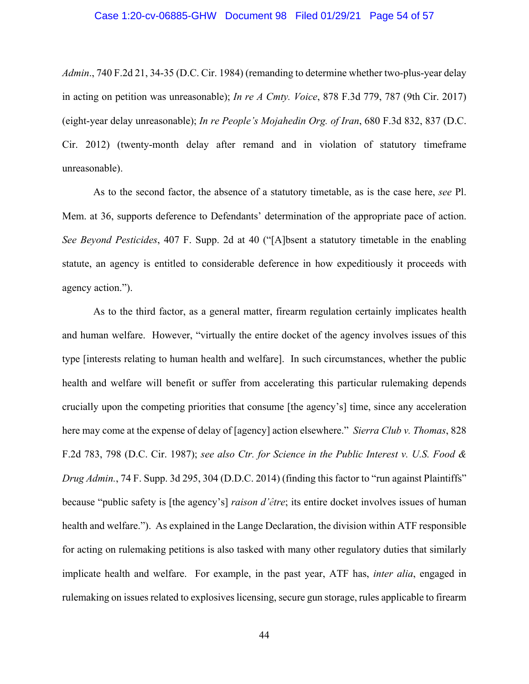#### Case 1:20-cv-06885-GHW Document 98 Filed 01/29/21 Page 54 of 57

*Admin*., 740 F.2d 21, 34-35 (D.C. Cir. 1984) (remanding to determine whether two-plus-year delay in acting on petition was unreasonable); *In re A Cmty. Voice*, 878 F.3d 779, 787 (9th Cir. 2017) (eight-year delay unreasonable); *In re People's Mojahedin Org. of Iran*, 680 F.3d 832, 837 (D.C. Cir. 2012) (twenty-month delay after remand and in violation of statutory timeframe unreasonable).

 As to the second factor, the absence of a statutory timetable, as is the case here, *see* Pl. Mem. at 36, supports deference to Defendants' determination of the appropriate pace of action. *See Beyond Pesticides*, 407 F. Supp. 2d at 40 ("[A]bsent a statutory timetable in the enabling statute, an agency is entitled to considerable deference in how expeditiously it proceeds with agency action.").

As to the third factor, as a general matter, firearm regulation certainly implicates health and human welfare. However, "virtually the entire docket of the agency involves issues of this type [interests relating to human health and welfare]. In such circumstances, whether the public health and welfare will benefit or suffer from accelerating this particular rulemaking depends crucially upon the competing priorities that consume [the agency's] time, since any acceleration here may come at the expense of delay of [agency] action elsewhere." *Sierra Club v. Thomas*, 828 F.2d 783, 798 (D.C. Cir. 1987); *see also Ctr. for Science in the Public Interest v. U.S. Food & Drug Admin.*, 74 F. Supp. 3d 295, 304 (D.D.C. 2014) (finding this factor to "run against Plaintiffs" because "public safety is [the agency's] *raison d'être*; its entire docket involves issues of human health and welfare."). As explained in the Lange Declaration, the division within ATF responsible for acting on rulemaking petitions is also tasked with many other regulatory duties that similarly implicate health and welfare. For example, in the past year, ATF has, *inter alia*, engaged in rulemaking on issues related to explosives licensing, secure gun storage, rules applicable to firearm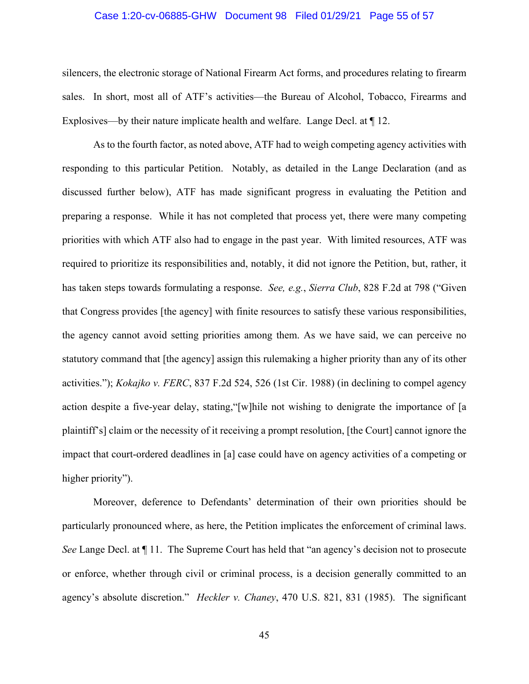#### Case 1:20-cv-06885-GHW Document 98 Filed 01/29/21 Page 55 of 57

silencers, the electronic storage of National Firearm Act forms, and procedures relating to firearm sales. In short, most all of ATF's activities—the Bureau of Alcohol, Tobacco, Firearms and Explosives—by their nature implicate health and welfare. Lange Decl. at ¶ 12.

 As to the fourth factor, as noted above, ATF had to weigh competing agency activities with responding to this particular Petition. Notably, as detailed in the Lange Declaration (and as discussed further below), ATF has made significant progress in evaluating the Petition and preparing a response. While it has not completed that process yet, there were many competing priorities with which ATF also had to engage in the past year. With limited resources, ATF was required to prioritize its responsibilities and, notably, it did not ignore the Petition, but, rather, it has taken steps towards formulating a response. *See, e.g.*, *Sierra Club*, 828 F.2d at 798 ("Given that Congress provides [the agency] with finite resources to satisfy these various responsibilities, the agency cannot avoid setting priorities among them. As we have said, we can perceive no statutory command that [the agency] assign this rulemaking a higher priority than any of its other activities."); *Kokajko v. FERC*, 837 F.2d 524, 526 (1st Cir. 1988) (in declining to compel agency action despite a five-year delay, stating,"[w]hile not wishing to denigrate the importance of [a plaintiff's] claim or the necessity of it receiving a prompt resolution, [the Court] cannot ignore the impact that court-ordered deadlines in [a] case could have on agency activities of a competing or higher priority").

Moreover, deference to Defendants' determination of their own priorities should be particularly pronounced where, as here, the Petition implicates the enforcement of criminal laws. *See Lange Decl. at*  $\P$  11. The Supreme Court has held that "an agency's decision not to prosecute or enforce, whether through civil or criminal process, is a decision generally committed to an agency's absolute discretion." *Heckler v. Chaney*, 470 U.S. 821, 831 (1985). The significant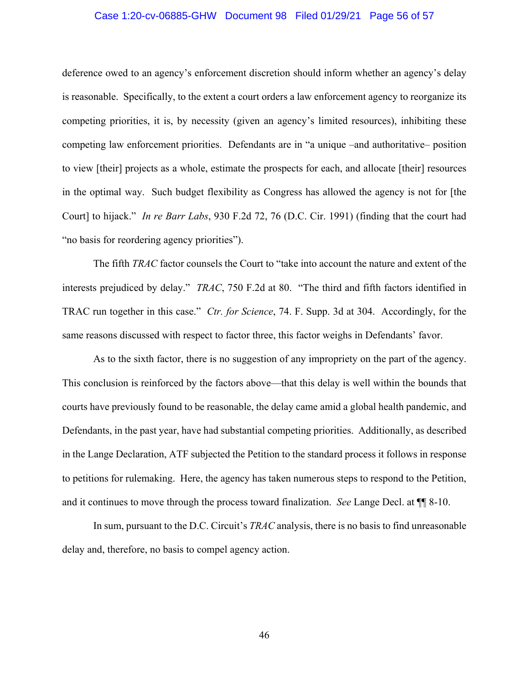#### Case 1:20-cv-06885-GHW Document 98 Filed 01/29/21 Page 56 of 57

deference owed to an agency's enforcement discretion should inform whether an agency's delay is reasonable. Specifically, to the extent a court orders a law enforcement agency to reorganize its competing priorities, it is, by necessity (given an agency's limited resources), inhibiting these competing law enforcement priorities. Defendants are in "a unique –and authoritative– position to view [their] projects as a whole, estimate the prospects for each, and allocate [their] resources in the optimal way. Such budget flexibility as Congress has allowed the agency is not for [the Court] to hijack." *In re Barr Labs*, 930 F.2d 72, 76 (D.C. Cir. 1991) (finding that the court had "no basis for reordering agency priorities").

 The fifth *TRAC* factor counsels the Court to "take into account the nature and extent of the interests prejudiced by delay." *TRAC*, 750 F.2d at 80. "The third and fifth factors identified in TRAC run together in this case." *Ctr. for Science*, 74. F. Supp. 3d at 304. Accordingly, for the same reasons discussed with respect to factor three, this factor weighs in Defendants' favor.

 As to the sixth factor, there is no suggestion of any impropriety on the part of the agency. This conclusion is reinforced by the factors above—that this delay is well within the bounds that courts have previously found to be reasonable, the delay came amid a global health pandemic, and Defendants, in the past year, have had substantial competing priorities. Additionally, as described in the Lange Declaration, ATF subjected the Petition to the standard process it follows in response to petitions for rulemaking. Here, the agency has taken numerous steps to respond to the Petition, and it continues to move through the process toward finalization. *See* Lange Decl. at ¶¶ 8-10.

 In sum, pursuant to the D.C. Circuit's *TRAC* analysis, there is no basis to find unreasonable delay and, therefore, no basis to compel agency action.

46